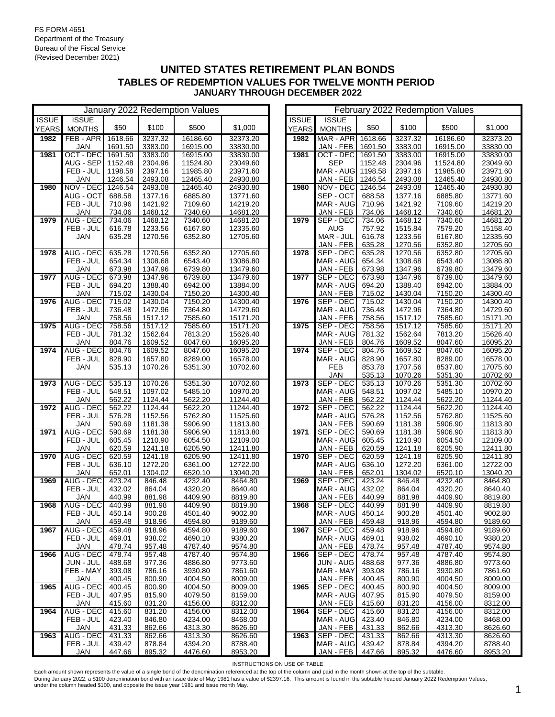|              | January 2022 Redemption Values |                     |                    |                    |                      |  | February 2022 Redemption Values |                        |                  |                    |                    |                      |
|--------------|--------------------------------|---------------------|--------------------|--------------------|----------------------|--|---------------------------------|------------------------|------------------|--------------------|--------------------|----------------------|
| <b>ISSUE</b> | <b>ISSUE</b>                   |                     |                    |                    |                      |  | <b>ISSUE</b>                    | <b>ISSUE</b>           |                  |                    |                    |                      |
| <b>YEARS</b> | <b>MONTHS</b>                  | \$50                | \$100              | \$500              | \$1,000              |  | <b>YEARS</b>                    | <b>MONTHS</b>          | \$50             | \$100              | \$500              | \$1,000              |
| 1982         | FEB-APR                        | 1618.66             | 3237.32            | 16186.60           | 32373.20             |  | 1982                            | MAR - APR              | 1618.66          | 3237.32            | 16186.60           | 32373.20             |
|              | JAN                            | 1691.50             | 3383.00            | 16915.00           | 33830.00             |  |                                 | JAN - FEB              | 1691.50          | 3383.00            | 16915.00           | 33830.00             |
| 1981         | OCT - DEC                      | 1691.50             | 3383.00            | 16915.00           | 33830.00             |  | 1981                            | OCT - DEC              | 1691.50          | 3383.00            | 16915.00           | 33830.00             |
|              | AUG - SEP                      | 1152.48             | 2304.96            | 11524.80           | 23049.60             |  |                                 | <b>SEP</b>             | 1152.48          | 2304.96            | 11524.80           | 23049.60             |
|              | FEB - JUL                      | 1198.58             | 2397.16            | 11985.80           | 23971.60             |  |                                 | MAR - AUG              | 1198.58          | 2397.16            | 11985.80           | 23971.60             |
|              | <b>JAN</b>                     | 1246.54             | 2493.08            | 12465.40           | 24930.80             |  |                                 | JAN - FEB              | 1246.54          | 2493.08            | 12465.40           | 24930.80             |
| 1980         | NOV - DEC                      | 1246.54             | 2493.08            | 12465.40           | 24930.80             |  | 1980                            | NOV - DEC              | 1246.54          | 2493.08            | 12465.40           | 24930.80             |
|              | AUG - OCT                      | 688.58              | 1377.16            | 6885.80            | 13771.60             |  |                                 | SEP - OCT              | 688.58           | 1377.16            | 6885.80            | 13771.60             |
|              | FEB - JUL                      | 710.96              | 1421.92            | 7109.60            | 14219.20             |  |                                 | MAR - AUG              | 710.96           | 1421.92            | 7109.60            | 14219.20             |
|              | <b>JAN</b>                     | 734.06              | 1468.12            | 7340.60            | 14681.20             |  |                                 | JAN - FEB              | 734.06           | 1468.12            | 7340.60            | 14681.20             |
| 1979         | <b>AUG - DEC</b>               | 734.06              | 1468.12            | 7340.60            | 14681.20             |  | 1979                            | SEP - DEC              | 734.06           | 1468.12            | 7340.60            | 14681.20             |
|              | FEB - JUL                      | 616.78              | 1233.56            | 6167.80            | 12335.60             |  |                                 | <b>AUG</b>             | 757.92           | 1515.84            | 7579.20            | 15158.40             |
|              | JAN                            | 635.28              | 1270.56            | 6352.80            | 12705.60             |  |                                 | MAR - JUL              | 616.78           | 1233.56            | 6167.80            | 12335.60             |
|              |                                |                     |                    |                    |                      |  |                                 | JAN - FEB              | 635.28           | 1270.56            | 6352.80            | 12705.60             |
| 1978         | <b>AUG - DEC</b>               | 635.28              | 1270.56            | 6352.80            | 12705.60             |  | 1978                            | SEP - DEC              | 635.28           | 1270.56            | 6352.80            | 12705.60             |
|              | FEB - JUL                      | 654.34              | 1308.68            | 6543.40            | 13086.80             |  |                                 | MAR - AUG              | 654.34           | 1308.68            | 6543.40            | 13086.80             |
|              | <b>JAN</b>                     | 673.98              | 1347.96            | 6739.80            | 13479.60             |  |                                 | JAN - FEB              | 673.98           | 1347.96            | 6739.80            | 13479.60             |
| 1977         | <b>AUG - DEC</b>               | 673.98              | 1347.96            | 6739.80            | 13479.60             |  | 1977                            | SEP - DEC              | 673.98           | 1347.96            | 6739.80            | 13479.60             |
|              | FEB - JUL                      | 694.20              | 1388.40            | 6942.00            | 13884.00             |  |                                 | MAR - AUG              | 694.20           | 1388.40            | 6942.00            | 13884.00             |
|              | <b>JAN</b>                     | 715.02              | 1430.04            | 7150.20            | 14300.40             |  |                                 | JAN - FEB              | 715.02           | 1430.04            | 7150.20            | 14300.40             |
| 1976         | AUG - DEC<br>FEB - JUL         | 715.02              | 1430.04            | 7150.20            | 14300.40<br>14729.60 |  | 1976                            | SEP - DEC              | 715.02           | 1430.04            | 7150.20            | 14300.40             |
|              |                                | 736.48              | 1472.96            | 7364.80            |                      |  |                                 | MAR - AUG              | 736.48           | 1472.96<br>1517.12 | 7364.80            | 14729.60             |
| 1975         | <b>JAN</b><br><b>AUG - DEC</b> | 758.56<br>758.56    | 1517.12<br>1517.12 | 7585.60<br>7585.60 | 15171.20<br>15171.20 |  | 1975                            | JAN - FEB<br>SEP - DEC | 758.56<br>758.56 | 1517.12            | 7585.60<br>7585.60 | 15171.20<br>15171.20 |
|              | FEB - JUL                      | 781.32              | 1562.64            | 7813.20            | 15626.40             |  |                                 | MAR - AUG              | 781.32           | 1562.64            | 7813.20            | 15626.40             |
|              | <b>JAN</b>                     | 804.76              | 1609.52            | 8047.60            | 16095.20             |  |                                 | JAN - FEB              | 804.76           | 1609.52            | 8047.60            | 16095.20             |
| 1974         | <b>AUG - DEC</b>               | 804.76              | 1609.52            | 8047.60            | 16095.20             |  | 1974                            | SEP - DEC              | 804.76           | 1609.52            | 8047.60            | 16095.20             |
|              | FEB - JUL                      | 828.90              | 1657.80            | 8289.00            | 16578.00             |  |                                 | MAR - AUG              | 828.90           | 1657.80            | 8289.00            | 16578.00             |
|              | JAN                            | 535.13              | 1070.26            | 5351.30            | 10702.60             |  |                                 | <b>FEB</b>             | 853.78           | 1707.56            | 8537.80            | 17075.60             |
|              |                                |                     |                    |                    |                      |  |                                 | <b>JAN</b>             | 535.13           | 1070.26            | 5351.30            | 10702.60             |
| 1973         | <b>AUG - DEC</b>               | 535.13              | 1070.26            | 5351.30            | 10702.60             |  | 1973                            | SEP - DEC              | 535.13           | 1070.26            | 5351.30            | 10702.60             |
|              | FEB - JUL                      | 548.51              | 1097.02            | 5485.10            | 10970.20             |  |                                 | MAR - AUG              | 548.51           | 1097.02            | 5485.10            | 10970.20             |
|              | <b>JAN</b>                     | 562.22              | 1124.44            | 5622.20            | 11244.40             |  |                                 | JAN - FEB              | 562.22           | 1124.44            | 5622.20            | 11244.40             |
| 1972         | <b>AUG - DEC</b>               | 562.22              | 1124.44            | 5622.20            | 11244.40             |  | 1972                            | SEP - DEC              | 562.22           | 1124.44            | 5622.20            | 11244.40             |
|              | FEB - JUL                      | 576.28              | 1152.56            | 5762.80            | 11525.60             |  |                                 | MAR - AUG              | 576.28           | 1152.56            | 5762.80            | 11525.60             |
|              | JAN                            | 590.69              | 1181.38            | 5906.90            | 11813.80             |  |                                 | JAN - FEB              | 590.69           | 1181.38            | 5906.90            | 11813.80             |
| 1971         | AUG - DEC                      | 590.69              | 1181.38            | 5906.90            | 11813.80             |  | 1971                            | SEP - DEC              | 590.69           | 1181.38            | 5906.90            | 11813.80             |
|              | FEB - JUL                      | 605.45              | 1210.90            | 6054.50            | 12109.00             |  |                                 | MAR - AUG              | 605.45           | 1210.90            | 6054.50            | 12109.00             |
|              | <b>JAN</b>                     | 620.59              | 1241.18            | 6205.90            | 12411.80             |  |                                 | JAN - FEB              | 620.59           | 1241.18            | 6205.90            | 12411.80             |
| 1970         | <b>AUG - DEC</b>               | 620.59              | 1241.18            | 6205.90            | 12411.80             |  | 1970                            | SEP - DEC              | 620.59           | 1241.18            | 6205.90            | 12411.80             |
|              | FEB - JUL                      | 636.10              | 1272.20            | 6361.00            | 12722.00             |  |                                 | MAR - AUG              | 636.10           | 1272.20            | 6361.00            | 12722.00             |
|              | JAN<br>AUG - DEC               | 652.01              | 1304.02            | 6520.10            | 13040.20             |  | 1969                            | JAN - FEB              | 652.01           | 1304.02            | 6520.10            | 13040.20             |
| 1969         | FEB - JUL                      | 423.24<br>432.02    | 846.48<br>864.04   | 4232.40<br>4320.20 | 8464.80<br>8640.40   |  |                                 | SEP - DEC<br>MAR - AUG | 423.24<br>432.02 | 846.48<br>864.04   | 4232.40<br>4320.20 | 8464.80<br>8640.40   |
|              | JAN                            | 440.99              | 881.98             | 4409.90            | 8819.80              |  |                                 | JAN - FEB              | 440.99           | 881.98             | 4409.90            | 8819.80              |
| 1968         | AUG - DEC                      | 440.99              | 881.98             | 4409.90            | 8819.80              |  | 1968                            | SEP - DEC              | 440.99           | 881.98             | 4409.90            | 8819.80              |
|              | FEB - JUL                      | 450.14              | 900.28             | 4501.40            | 9002.80              |  |                                 | MAR - AUG              | 450.14           | 900.28             | 4501.40            | 9002.80              |
|              | JAN                            | 459.48              | 918.96             | 4594.80            | 9189.60              |  |                                 | JAN - FEB              | 459.48           | 918.96             | 4594.80            | 9189.60              |
| 1967         | AUG - DEC                      | 459.48              | 918.96             | 4594.80            | 9189.60              |  | 1967                            | SEP - DEC              | 459.48           | 918.96             | 4594.80            | 9189.60              |
|              | FEB - JUL                      | 469.01              | 938.02             | 4690.10            | 9380.20              |  |                                 | MAR - AUG              | 469.01           | 938.02             | 4690.10            | 9380.20              |
|              | JAN                            | 478.74              | 957.48             | 4787.40            | 9574.80              |  |                                 | JAN - FEB              | 478.74           | 957.48             | 4787.40            | 9574.80              |
| 1966         | AUG - DEC                      | 478.74              | 957.48             | 4787.40            | 9574.80              |  | 1966                            | SEP - DEC              | 478.74           | 957.48             | 4787.40            | 9574.80              |
|              | JUN - JUL                      | 488.68              | 977.36             | 4886.80            | 9773.60              |  |                                 | <b>JUN - AUG</b>       | 488.68           | 977.36             | 4886.80            | 9773.60              |
|              | FEB - MAY                      | 393.08              | 786.16             | 3930.80            | 7861.60              |  |                                 | MAR - MAY              | 393.08           | 786.16             | 3930.80            | 7861.60              |
|              | JAN                            | 400.45              | 800.90             | 4004.50            | 8009.00              |  |                                 | JAN - FEB              | 400.45           | 800.90             | 4004.50            | 8009.00              |
| 1965         | <b>AUG - DEC</b>               | $\overline{400.45}$ | 800.90             | 4004.50            | 8009.00              |  | 1965                            | SEP - DEC              | 400.45           | 800.90             | 4004.50            | 8009.00              |
|              | FEB - JUL                      | 407.95              | 815.90             | 4079.50            | 8159.00              |  |                                 | MAR - AUG              | 407.95           | 815.90             | 4079.50            | 8159.00              |
|              | JAN                            | 415.60              | 831.20             | 4156.00            | 8312.00              |  |                                 | JAN - FEB              | 415.60           | 831.20             | 4156.00            | 8312.00              |
| 1964         | AUG - DEC                      | 415.60              | 831.20             | 4156.00            | 8312.00              |  | 1964                            | SEP - DEC              | 415.60           | 831.20             | 4156.00            | 8312.00              |
|              | FEB - JUL                      | 423.40              | 846.80             | 4234.00            | 8468.00              |  |                                 | MAR - AUG              | 423.40           | 846.80             | 4234.00            | 8468.00              |
|              | JAN                            | 431.33              | 862.66             | 4313.30            | 8626.60              |  |                                 | JAN - FEB              | 431.33           | 862.66             | 4313.30            | 8626.60              |
| 1963         | <b>AUG - DEC</b>               | 431.33              | 862.66             | 4313.30            | 8626.60              |  | 1963                            | SEP - DEC              | 431.33           | 862.66             | 4313.30            | 8626.60              |
|              | FEB - JUL                      | 439.42              | 878.84             | 4394.20            | 8788.40              |  |                                 | MAR - AUG              | 439.42           | 878.84             | 4394.20            | 8788.40              |
|              | <b>JAN</b>                     | 447.66              | 895.32             | 4476.60            | 8953.20              |  |                                 | JAN - FEB              | 447.66           | 895.32             | 4476.60            | 8953.20              |

|              |                        |                  |                  | February 2022 Redemption values |                    |
|--------------|------------------------|------------------|------------------|---------------------------------|--------------------|
| <b>ISSUE</b> | <b>ISSUE</b>           |                  |                  |                                 |                    |
| <b>YEARS</b> | <b>MONTHS</b>          | \$50             | \$100            | \$500                           | \$1,000            |
| 1982         | MAR - APR              | 1618.66          | 3237.32          | 16186.60                        | 32373.20           |
|              | JAN - FEB              | 1691.50          | 3383.00          | 16915.00                        | 33830.00           |
| 1981         | <b>OCT - DEC</b>       | 1691.50          | 3383.00          | 16915.00                        | 33830.00           |
|              | SEP                    | 1152.48          | 2304.96          | 11524.80                        | 23049.60           |
|              | MAR - AUG              | 1198.58          | 2397.16          | 11985.80                        | 23971.60           |
|              | JAN - FEB              | 1246.54          | 2493.08          | 12465.40                        | 24930.80           |
| 1980         | NOV - DEC              | 1246.54          | 2493.08          | 12465.40                        | 24930.80           |
|              | SEP - OCT              | 688.58           | 1377.16          | 6885.80                         | 13771.60           |
|              | MAR - AUG              | 710.96           | 1421.92          | 7109.60                         | 14219.20           |
|              | JAN - FEB              | 734.06           | 1468.12          | 7340.60                         | 14681.20           |
| 1979         | SEP - DEC              | 734.06           | 1468.12          | 7340.60                         | 14681.20           |
|              | AUG                    | 757.92           | 1515.84          | 7579.20                         | 15158.40           |
|              | MAR - JUL              | 616.78           | 1233.56          | 6167.80                         | 12335.60           |
|              | JAN - FEB              | 635.28           | 1270.56          | 6352.80                         | 12705.60           |
| 1978         | SEP - DEC              | 635.28           | 1270.56          | 6352.80                         | 12705.60           |
|              | MAR - AUG              | 654.34           | 1308.68          | 6543.40                         | 13086.80           |
|              | JAN - FEB              | 673.98           | 1347.96          | 6739.80                         | 13479.60           |
| 1977         | SEP - DEC              | 673.98           | 1347.96          | 6739.80                         | 13479.60           |
|              | MAR - AUG              | 694.20           | 1388.40          | 6942.00                         | 13884.00           |
|              | JAN - FEB              | 715.02           | 1430.04          | 7150.20                         | 14300.40           |
| 1976         | SEP - DEC              | 715.02           | 1430.04          | 7150.20                         | 14300.40           |
|              | MAR - AUG              | 736.48           | 1472.96          | 7364.80                         | 14729.60           |
|              | JAN - FEB              | 758.56           | 1517.12          | 7585.60                         | 15171.20           |
| 1975         | SEP - DEC              | 758.56           | 1517.12          | 7585.60                         | 15171.20           |
|              | MAR - AUG              | 781.32           | 1562.64          | 7813.20                         | 15626.40           |
|              | JAN - FEB              | 804.76           | 1609.52          | 8047.60                         | 16095.20           |
| 1974         | SEP - DEC              | 804.76           | 1609.52          | 8047.60                         | 16095.20           |
|              | MAR - AUG              | 828.90           | 1657.80          | 8289.00                         | 16578.00           |
|              | FEB                    | 853.78           | 1707.56          | 8537.80                         | 17075.60           |
|              | JAN                    | 535.13           | 1070.26          | 5351.30                         | 10702.60           |
| 1973         | SEP - DEC              | 535.13           | 1070.26          | 5351.30                         | 10702.60           |
|              | MAR - AUG              | 548.51           | 1097.02          | 5485.10                         | 10970.20           |
|              | JAN - FEB              | 562.22           | 1124.44          | 5622.20                         | 11244.40           |
| 1972         | SEP - DEC              | 562.22           | 1124.44          | 5622.20                         | 11244.40           |
|              | MAR - AUG              | 576.28           | 1152.56          | 5762.80                         | 11525.60           |
|              | JAN - FEB              | 590.69           | 1181.38          | 5906.90                         | 11813.80           |
| 1971         | SEP - DEC              | 590.69           | 1181.38          | 5906.90                         | 11813.80           |
|              | MAR - AUG              | 605.45           | 1210.90          | 6054.50                         | 12109.00           |
|              | JAN - FEB              | 620.59           | 1241.18          | 6205.90                         | 12411.80           |
| 1970         | SEP - DEC              | 620.59           | 1241.18          | 6205.90                         | 12411.80           |
|              | MAR - AUG              | 636.10           | 1272.20          | 6361.00                         | 12722.00           |
|              | JAN - FEB              | 652.01           | 1304.02          | 6520.10                         | 13040.20           |
| 1969         | SEP - DEC              | 423.24           | 846.48           | 4232.40                         | 8464.80            |
|              | MAR - AUG              | 432.02           | 864.04           | 4320.20                         | 8640.40            |
|              | JAN - FEB              | 440.99           | 881.98           | 4409.90                         | 8819.80            |
| 1968         | SEP - DEC              | 440.99           | 881.98           | 4409.90                         | 8819.80            |
|              | MAR - AUG              | 450.14           | 900.28           | 4501.40                         | 9002.80            |
|              | JAN - FEB<br>SEP - DEC | 459.48           | 918.96           | 4594.80                         | 9189.60            |
| 1967         |                        | 459.48<br>469.01 | 918.96           | 4594.80                         | 9189.60            |
|              | MAR - AUG<br>JAN - FEB | 478.74           | 938.02<br>957.48 | 4690.10                         | 9380.20<br>9574.80 |
| 1966         | SEP - DEC              |                  |                  | 4787.40                         |                    |
|              | JUN - AUG              | 478.74<br>488.68 | 957.48<br>977.36 | 4787.40<br>4886.80              | 9574.80<br>9773.60 |
|              | MAR - MAY              | 393.08           | 786.16           | 3930.80                         | 7861.60            |
|              | JAN - FEB              | 400.45           | 800.90           | 4004.50                         | 8009.00            |
| 1965         | SEP - DEC              | 400.45           | 800.90           | 4004.50                         | 8009.00            |
|              | MAR - AUG              | 407.95           | 815.90           | 4079.50                         | 8159.00            |
|              | JAN - FEB              | 415.60           | 831.20           | 4156.00                         | 8312.00            |
| 1964         | SEP - DEC              | 415.60           | 831.20           | 4156.00                         | 8312.00            |
|              | MAR - AUG              | 423.40           | 846.80           | 4234.00                         | 8468.00            |
|              | JAN - FEB              | 431.33           | 862.66           | 4313.30                         | 8626.60            |
| 1963         | SEP - DEC              | 431.33           | 862.66           | 4313.30                         | 8626.60            |
|              | MAR - AUG              | 439.42           | 878.84           | 4394.20                         | 8788.40            |
|              | JAN - FEB              | 447.66           | <u>895.32</u>    | <u>4476.60</u>                  | <u>8953.20</u>     |
|              |                        |                  |                  |                                 |                    |

INSTRUCTIONS ON USE OF TABLE

Each amount shown represents the value of a single bond of the denomination referenced at the top of the column and paid in the month shown at the top of the subtable.

During January 2022, a \$100 denomination bond with an issue date of May 1981 has a value of \$2397.16. This amount is found in the subtable headed January 2022 Redemption Values,<br>under the column headed \$100, and opposite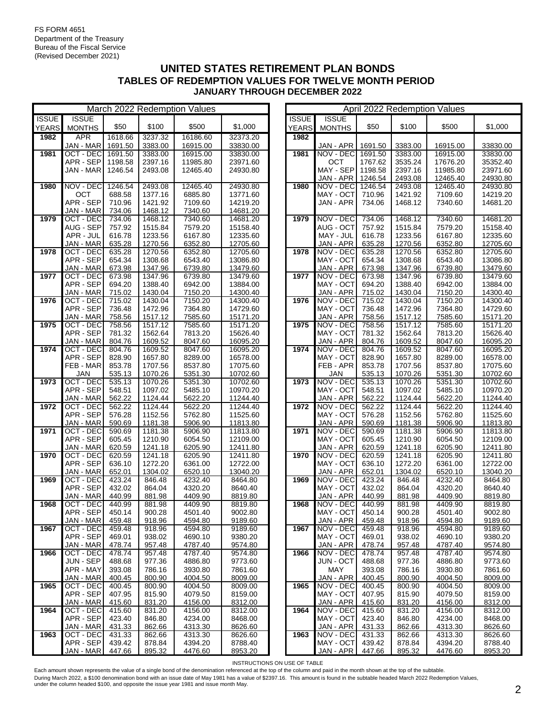|              | March 2022 Redemption Values |                  |                    |                    |                      |  | April 2022 Redemption Values |                        |                  |                    |                    |                      |
|--------------|------------------------------|------------------|--------------------|--------------------|----------------------|--|------------------------------|------------------------|------------------|--------------------|--------------------|----------------------|
| <b>ISSUE</b> | <b>ISSUE</b>                 |                  |                    |                    |                      |  | <b>ISSUE</b>                 | <b>ISSUE</b>           |                  |                    |                    |                      |
| <b>YEARS</b> | <b>MONTHS</b>                | \$50             | \$100              | \$500              | \$1,000              |  | YEARS                        | <b>MONTHS</b>          | \$50             | \$100              | \$500              | \$1,000              |
| 1982         | <b>APR</b>                   | 1618.66          | 3237.32            | 16186.60           | 32373.20             |  | 1982                         |                        |                  |                    |                    |                      |
|              | JAN - MAR                    | 1691.50          | 3383.00            | 16915.00           | 33830.00             |  |                              | JAN - APR              | 1691.50          | 3383.00            | 16915.00           | 33830.00             |
| 1981         | OCT - DEC 1691.50            |                  | 3383.00            | 16915.00           | 33830.00             |  | 1981                         | NOV - DEC              | 1691.50          | 3383.00            | 16915.00           | 33830.00             |
|              | APR - SEP                    | 1198.58          | 2397.16            | 11985.80           | 23971.60             |  |                              | OCT                    | 1767.62          | 3535.24            | 17676.20           | 35352.40             |
|              | JAN - MAR                    | 1246.54          | 2493.08            | 12465.40           | 24930.80             |  |                              | MAY - SEP              | 1198.58          | 2397.16            | 11985.80           | 23971.60             |
|              |                              |                  |                    |                    |                      |  |                              | JAN - APR              | 1246.54          | 2493.08            | 12465.40           | 24930.80             |
| 1980         | NOV - DEC                    | 1246.54          | 2493.08            | 12465.40           | 24930.80             |  | 1980                         | NOV - DEC              | 1246.54          | 2493.08            | 12465.40           | 24930.80             |
|              | OCT                          | 688.58           | 1377.16            | 6885.80            | 13771.60             |  |                              | MAY - OCT              | 710.96           | 1421.92            | 7109.60            | 14219.20             |
|              | APR - SEP                    | 710.96           | 1421.92            | 7109.60            | 14219.20             |  |                              | JAN - APR              | 734.06           | 1468.12            | 7340.60            | 14681.20             |
|              | JAN - MAR                    | 734.06           | 1468.12            | 7340.60            | 14681.20             |  |                              |                        |                  |                    |                    |                      |
| 1979         | OCT - DEC                    | 734.06           | 1468.12            | 7340.60            | 14681.20             |  | 1979                         | NOV - DEC              | 734.06           | 1468.12            | 7340.60            | 14681.20             |
|              | AUG - SEP                    | 757.92           | 1515.84            | 7579.20            | 15158.40             |  |                              | AUG - OCT              | 757.92           | 1515.84            | 7579.20            | 15158.40             |
|              | APR - JUL                    | 616.78           | 1233.56            | 6167.80            | 12335.60             |  |                              | MAY - JUL              | 616.78           | 1233.56            | 6167.80            | 12335.60             |
|              | JAN - MAR                    | 635.28           | 1270.56            | 6352.80            | 12705.60             |  |                              | JAN - APR              | 635.28           | 1270.56            | 6352.80            | 12705.60             |
| 1978         | OCT - DEC                    | 635.28           | 1270.56            | 6352.80            | 12705.60             |  | 1978                         | NOV - DEC              | 635.28           | 1270.56            | 6352.80            | 12705.60             |
|              | APR - SEP                    | 654.34           | 1308.68            | 6543.40            | 13086.80             |  |                              | MAY - OCT              | 654.34           | 1308.68            | 6543.40            | 13086.80             |
|              | JAN - MAR                    | 673.98           | 1347.96            | 6739.80            | 13479.60             |  |                              | JAN - APR              | 673.98           | 1347.96            | 6739.80            | 13479.60             |
| 1977         | OCT - DEC                    | 673.98           | 1347.96            | 6739.80            | 13479.60             |  | 1977                         | NOV - DEC              | 673.98           | 1347.96            | 6739.80            | 13479.60             |
|              | APR - SEP                    | 694.20           | 1388.40            | 6942.00            | 13884.00             |  |                              | MAY - OCT              | 694.20           | 1388.40            | 6942.00            | 13884.00             |
|              | JAN - MAR                    | 715.02           | 1430.04            | 7150.20            | 14300.40             |  |                              | JAN - APR              | 715.02           | 1430.04            | 7150.20            | 14300.40             |
| 1976         | OCT - DEC                    | 715.02           | 1430.04            | 7150.20            | 14300.40             |  | 1976                         | NOV - DEC              | 715.02           | 1430.04            | 7150.20            | 14300.40             |
|              | APR - SEP                    | 736.48           | 1472.96            | 7364.80            | 14729.60             |  |                              | MAY - OCT              | 736.48           | 1472.96            | 7364.80            | 14729.60             |
|              | JAN - MAR                    | 758.56           | 1517.12            | 7585.60            | 15171.20             |  |                              | JAN - APR              | 758.56           | 1517.12            | 7585.60            | 15171.20             |
| 1975         | OCT - DEC                    | 758.56           | 1517.12            | 7585.60            | 15171.20             |  | 1975                         | NOV - DEC              | 758.56           | 1517.12            | 7585.60            | 15171.20             |
|              | APR - SEP                    | 781.32           | 1562.64            | 7813.20            | 15626.40             |  |                              | MAY - OCT              | 781.32           | 1562.64            | 7813.20            | 15626.40             |
| 1974         | JAN - MAR                    | 804.76           | 1609.52            | 8047.60            | 16095.20             |  | 1974                         | JAN - APR              | 804.76           | 1609.52            | 8047.60            | 16095.20             |
|              | OCT - DEC<br>APR - SEP       | 804.76<br>828.90 | 1609.52<br>1657.80 | 8047.60<br>8289.00 | 16095.20<br>16578.00 |  |                              | NOV - DEC<br>MAY - OCT | 804.76<br>828.90 | 1609.52<br>1657.80 | 8047.60<br>8289.00 | 16095.20<br>16578.00 |
|              | FEB - MAR                    | 853.78           | 1707.56            | 8537.80            | 17075.60             |  |                              | FEB - APR              | 853.78           | 1707.56            | 8537.80            | 17075.60             |
|              | <b>JAN</b>                   | 535.13           | 1070.26            | 5351.30            | 10702.60             |  |                              | <b>JAN</b>             | 535.13           | 1070.26            | 5351.30            | 10702.60             |
| 1973         | OCT - DEC                    | 535.13           | 1070.26            | 5351.30            | 10702.60             |  | 1973                         | NOV - DEC              | 535.13           | 1070.26            | 5351.30            | 10702.60             |
|              | APR - SEP                    | 548.51           | 1097.02            | 5485.10            | 10970.20             |  |                              | MAY - OCT              | 548.51           | 1097.02            | 5485.10            | 10970.20             |
|              | JAN - MAR                    | 562.22           | 1124.44            | 5622.20            | 11244.40             |  |                              | JAN - APR              | 562.22           | 1124.44            | 5622.20            | 11244.40             |
| 1972         | OCT - DEC                    | 562.22           | 1124.44            | 5622.20            | 11244.40             |  | 1972                         | NOV - DEC              | 562.22           | 1124.44            | 5622.20            | 11244.40             |
|              | APR - SEP                    | 576.28           | 1152.56            | 5762.80            | 11525.60             |  |                              | MAY - OCT              | 576.28           | 1152.56            | 5762.80            | 11525.60             |
|              | JAN - MAR                    | 590.69           | 1181.38            | 5906.90            | 11813.80             |  |                              | JAN - APR              | 590.69           | 1181.38            | 5906.90            | 11813.80             |
| 1971         | OCT - DEC                    | 590.69           | 1181.38            | 5906.90            | 11813.80             |  | 1971                         | NOV - DEC              | 590.69           | 1181.38            | 5906.90            | 11813.80             |
|              | APR - SEP                    | 605.45           | 1210.90            | 6054.50            | 12109.00             |  |                              | MAY - OCT              | 605.45           | 1210.90            | 6054.50            | 12109.00             |
|              | JAN - MAR                    | 620.59           | 1241.18            | 6205.90            | 12411.80             |  |                              | JAN - APR              | 620.59           | 1241.18            | 6205.90            | 12411.80             |
| 1970         | OCT - DEC                    | 620.59           | 1241.18            | 6205.90            | 12411.80             |  | 1970                         | NOV - DEC              | 620.59           | 1241.18            | 6205.90            | 12411.80             |
|              | APR - SEP                    | 636.10           | 1272.20            | 6361.00            | 12722.00             |  |                              | MAY - OCT              | 636.10           | 1272.20            | 6361.00            | 12722.00             |
|              | JAN - MAR                    | 652.01           | 1304.02            | 6520.10            | 13040.20             |  |                              | JAN - APR              | 652.01           | 1304.02            | 6520.10            | 13040.20             |
| 1969         | OCT - DEC                    | 423.24           | 846.48             | 4232.40            | 8464.80              |  | 1969                         | NOV - DEC              | 423.24           | 846.48             | 4232.40            | 8464.80              |
|              | APR - SEP                    | 432.02           | 864.04             | 4320.20            | 8640.40              |  |                              | MAY - OCT              | 432.02           | 864.04             | 4320.20            | 8640.40              |
|              | JAN - MAR                    | 440.99           | 881.98             | 4409.90            | 8819.80              |  |                              | JAN - APR              | 440.99           | 881.98             | 4409.90            | 8819.80              |
| 1968         | OCT - DEC                    | 440.99           | 881.98             | 4409.90            | 8819.80              |  | 1968                         | NOV - DEC              | 440.99           | 881.98             | 4409.90            | 8819.80              |
|              | APR - SEP                    | 450.14           | 900.28             | 4501.40            | 9002.80              |  |                              | MAY - OCT              | 450.14           | 900.28             | 4501.40            | 9002.80              |
|              | JAN - MAR                    | 459.48           | 918.96             | 4594.80            | 9189.60              |  |                              | JAN - APR              | 459.48           | 918.96             | 4594.80            | 9189.60              |
| 1967         | OCT - DEC                    | 459.48           | 918.96             | 4594.80            | 9189.60              |  | 1967                         | NOV - DEC              | 459.48           | 918.96             | 4594.80            | 9189.60              |
|              | APR - SEP                    | 469.01           | 938.02             | 4690.10            | 9380.20              |  |                              | MAY - OCT              | 469.01           | 938.02             | 4690.10            | 9380.20              |
|              | JAN - MAR                    | 478.74           | 957.48             | 4787.40            | 9574.80              |  |                              | JAN - APR              | 478.74           | 957.48             | 4787.40            | 9574.80              |
| 1966         | OCT - DEC                    | 478.74           | 957.48             | 4787.40            | 9574.80              |  | 1966                         | NOV - DEC              | 478.74           | 957.48             | 4787.40            | 9574.80              |
|              | JUN - SEP                    | 488.68           | 977.36             | 4886.80            | 9773.60              |  |                              | JUN - OCT              | 488.68           | 977.36             | 4886.80            | 9773.60              |
|              | APR - MAY                    | 393.08           | 786.16             | 3930.80            | 7861.60              |  |                              | MAY                    | 393.08           | 786.16             | 3930.80            | 7861.60              |
|              | JAN - MAR                    | 400.45           | 800.90             | 4004.50            | 8009.00              |  |                              | JAN - APR              | 400.45           | 800.90             | 4004.50            | 8009.00              |
| 1965         | OCT - DEC                    | 400.45           | 800.90             | 4004.50            | 8009.00              |  | 1965                         | NOV - DEC              | 400.45           | 800.90             | 4004.50            | 8009.00              |
|              | APR - SEP                    | 407.95           | 815.90             | 4079.50            | 8159.00              |  |                              | MAY - OCT              | 407.95           | 815.90             | 4079.50            | 8159.00              |
|              | JAN - MAR                    | 415.60           | 831.20             | 4156.00            | 8312.00              |  | 1964                         | JAN - APR              | 415.60           | 831.20             | 4156.00            | 8312.00              |
| 1964         | OCT - DEC<br>APR - SEP       | 415.60           | 831.20<br>846.80   | 4156.00<br>4234.00 | 8312.00              |  |                              | NOV - DEC<br>MAY - OCT | 415.60<br>423.40 | 831.20<br>846.80   | 4156.00            | 8312.00<br>8468.00   |
|              | JAN - MAR                    | 423.40<br>431.33 | 862.66             | 4313.30            | 8468.00<br>8626.60   |  |                              | JAN - APR              | 431.33           | 862.66             | 4234.00<br>4313.30 | 8626.60              |
| 1963         | OCT - DEC                    | 431.33           | 862.66             | 4313.30            | 8626.60              |  | 1963                         | NOV - DEC              | 431.33           | 862.66             | 4313.30            | 8626.60              |
|              | APR - SEP                    | 439.42           | 878.84             | 4394.20            | 8788.40              |  |                              | MAY - OCT              | 439.42           | 878.84             | 4394.20            | 8788.40              |
|              | JAN - MAR                    | 447.66           | 895.32             | 4476.60            | 8953.20              |  |                              | JAN - APR              | 447.66           | 895.32             | 4476.60            | 8953.20              |
|              |                              |                  |                    |                    |                      |  |                              |                        |                  |                    |                    |                      |

|                              |                               |                   |                    | Aprii zuzz Redemption values |                      |
|------------------------------|-------------------------------|-------------------|--------------------|------------------------------|----------------------|
| <b>ISSUE</b><br><b>YEARS</b> | <b>ISSUE</b><br><b>MONTHS</b> | \$50              | \$100              | \$500                        | \$1,000              |
| 1982                         |                               |                   |                    |                              |                      |
|                              | JAN - APR                     | 1691.50           | 3383.00            | 16915.00                     | 33830.00             |
| 1981                         | NOV - DEC                     | 1691.50           | 3383.00            | 16915.00                     | 33830.00             |
|                              | ОСТ                           | 1767.62           | 3535.24            | 17676.20                     | 35352.40             |
|                              | MAY - SEP                     | 1198.58           | 2397.16            | 11985.80                     | 23971.60             |
| 1980                         | JAN - APR<br>NOV - DEC        | 1246.54           | 2493.08            | 12465.40                     | 24930.80             |
|                              | MAY - OCT                     | 1246.54<br>710.96 | 2493.08<br>1421.92 | 12465.40<br>7109.60          | 24930.80<br>14219.20 |
|                              | JAN - APR                     | 734.06            | 1468.12            | 7340.60                      | 14681.20             |
|                              |                               |                   |                    |                              |                      |
| 1979                         | NOV - DEC                     | 734.06            | 1468.12            | 7340.60                      | 14681.20             |
|                              | AUG - OCT                     | 757.92            | 1515.84            | 7579.20                      | 15158.40             |
|                              | MAY - JUL                     | 616.78            | 1233.56            | 6167.80                      | 12335.60             |
|                              | JAN - APR                     | 635.28            | 1270.56            | 6352.80                      | 12705.60             |
| 1978                         | NOV - DEC                     | 635.28            | 1270.56            | 6352.80                      | 12705.60             |
|                              | MAY - OCT                     | 654.34            | 1308.68            | 6543.40                      | 13086.80             |
| 1977                         | JAN - APR<br>NOV - DEC        | 673.98            | 1347.96            | 6739.80                      | 13479.60             |
|                              | MAY - OCT                     | 673.98<br>694.20  | 1347.96<br>1388.40 | 6739.80<br>6942.00           | 13479.60<br>13884.00 |
|                              | JAN - APR                     | 715.02            | 1430.04            | 7150.20                      | 14300.40             |
| 1976                         | NOV - DEC                     | 715.02            | 1430.04            | 7150.20                      | 14300.40             |
|                              | MAY - OCT                     | 736.48            | 1472.96            | 7364.80                      | 14729.60             |
|                              | JAN - APR                     | 758.56            | 1517.12            | 7585.60                      | 15171.20             |
| 1975                         | NOV - DEC                     | 758.56            | 1517.12            | 7585.60                      | 15171.20             |
|                              | MAY - OCT                     | 781.32            | 1562.64            | 7813.20                      | 15626.40             |
|                              | JAN - APR                     | 804.76            | 1609.52            | 8047.60                      | 16095.20             |
| 1974                         | NOV - DEC                     | 804.76            | 1609.52            | 8047.60                      | 16095.20             |
|                              | MAY - OCT<br>FEB-APR          | 828.90<br>853.78  | 1657.80<br>1707.56 | 8289.00<br>8537.80           | 16578.00<br>17075.60 |
|                              | JAN                           | 535.13            | 1070.26            | 5351.30                      | 10702.60             |
| 1973                         | NOV - DEC                     | 535.13            | 1070.26            | 5351.30                      | 10702.60             |
|                              | MAY - OCT                     | 548.51            | 1097.02            | 5485.10                      | 10970.20             |
|                              | JAN - APR                     | 562.22            | 1124.44            | 5622.20                      | 11244.40             |
| 1972                         | NOV - DEC                     | 562.22            | 1124.44            | 5622.20                      | 11244.40             |
|                              | MAY - OCT<br>JAN - APR        | 576.28<br>590.69  | 1152.56<br>1181.38 | 5762.80<br>5906.90           | 11525.60<br>11813.80 |
| 1971                         | NOV - DEC                     | 590.69            | 1181.38            | 5906.90                      | 11813.80             |
|                              | MAY - OCT                     | 605.45            | 1210.90            | 6054.50                      | 12109.00             |
|                              | JAN - APR                     | 620.59            | 1241.18            | 6205.90                      | 12411.80             |
| 1970                         | NOV - DEC                     | 620.59            | 1241.18            | 6205.90                      | 12411.80             |
|                              | MAY - OCT                     | 636.10            | 1272.20            | 6361.00                      | 12722.00             |
|                              | JAN - APR                     | 652.01            | 1304.02            | 6520.10                      | 13040.20             |
| 1969                         | NOV - DEC                     | 423.24            | 846.48             | 4232.40                      | 8464.80              |
|                              | MAY - OCT<br>JAN - APR        | 432.02<br>440.99  | 864.04<br>881.98   | 4320.20<br>4409.90           | 8640.40<br>8819.80   |
| 1968                         | NOV - DEC                     | 440.99            | 881.98             | 4409.90                      | 8819.80              |
|                              | MAY - OCT                     | 450.14            | 900.28             | 4501.40                      | 9002.80              |
|                              | JAN - APR                     | 459.48            | 918.96             | 4594.80                      | 9189.60              |
| 1967                         | NOV - DEC                     | 459.48            | 918.96             | 4594.80                      | 9189.60              |
|                              | MAY - OCT                     | 469.01            | 938.02             | 4690.10                      | 9380.20              |
|                              | JAN - APR                     | 478.74            | 957.48             | 4787.40                      | 9574.80              |
| 1966                         | NOV - DEC                     | 478.74            | 957.48             | 4787.40                      | 9574.80              |
|                              | JUN - OCT<br>MAY              | 488.68<br>393.08  | 977.36<br>786.16   | 4886.80<br>3930.80           | 9773.60              |
|                              | JAN - APR                     | 400.45            | 800.90             | 4004.50                      | 7861.60<br>8009.00   |
| 1965                         | NOV - DEC                     | 400.45            | 800.90             | 4004.50                      | 8009.00              |
|                              | MAY - OCT                     | 407.95            | 815.90             | 4079.50                      | 8159.00              |
|                              | JAN - APR                     | 415.60            | 831.20             | 4156.00                      | 8312.00              |
| 1964                         | NOV - DEC                     | 415.60            | 831.20             | 4156.00                      | 8312.00              |
|                              | MAY - OCT                     | 423.40            | 846.80             | 4234.00                      | 8468.00              |
|                              | JAN - APR                     | 431.33            | 862.66             | 4313.30                      | 8626.60              |
| 1963                         | NOV - DEC                     | 431.33            | 862.66             | 4313.30                      | 8626.60              |
|                              | MAY - OCT<br>JAN - APR        | 439.42            | 878.84             | 4394.20                      | 8788.40              |
|                              |                               | 447.66            | 895.32             | 4476.60                      | 8953.20              |

INSTRUCTIONS ON USE OF TABLE

Each amount shown represents the value of a single bond of the denomination referenced at the top of the column and paid in the month shown at the top of the subtable.

During March 2022, a \$100 denomination bond with an issue date of May 1981 has a value of \$2397.16. This amount is found in the subtable headed March 2022 Redemption Values,<br>under the column headed \$100, and opposite the i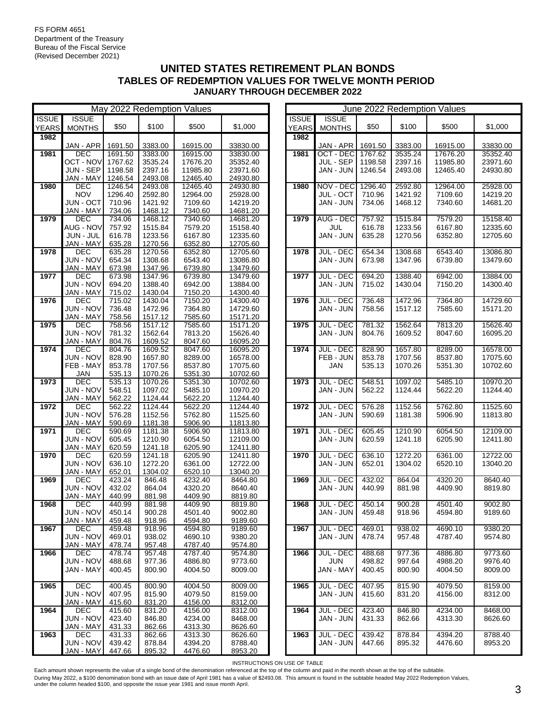|              | May 2022 Redemption Values |                  |                    |                    |                      |  | June 2022 Redemption Values |                  |         |         |          |          |  |
|--------------|----------------------------|------------------|--------------------|--------------------|----------------------|--|-----------------------------|------------------|---------|---------|----------|----------|--|
| <b>ISSUE</b> | <b>ISSUE</b>               |                  |                    |                    |                      |  | <b>ISSUE</b>                | <b>ISSUE</b>     |         |         |          |          |  |
| <b>YEARS</b> | <b>MONTHS</b>              | \$50             | \$100              | \$500              | \$1,000              |  | <b>YEARS</b>                | <b>MONTHS</b>    | \$50    | \$100   | \$500    | \$1,000  |  |
| 1982         |                            |                  |                    |                    |                      |  | 1982                        |                  |         |         |          |          |  |
|              | JAN - APR                  | 1691.50          | 3383.00            | 16915.00           | 33830.00             |  |                             | JAN - APR        | 1691.50 | 3383.00 | 16915.00 | 33830.00 |  |
| 1981         | <b>DEC</b>                 | 1691.50          | 3383.00            | 16915.00           | 33830.00             |  | 1981                        | OCT - DEC        | 1767.62 | 3535.24 | 17676.20 | 35352.40 |  |
|              | OCT - NOV                  | 1767.62          | 3535.24            | 17676.20           | 35352.40             |  |                             | JUL - SEP        | 1198.58 | 2397.16 | 11985.80 | 23971.60 |  |
|              | JUN - SEP                  | 1198.58          | 2397.16            | 11985.80           | 23971.60             |  |                             | JAN - JUN        | 1246.54 | 2493.08 | 12465.40 | 24930.80 |  |
|              | JAN - MAY                  | 1246.54          | 2493.08            | 12465.40           | 24930.80             |  |                             |                  |         |         |          |          |  |
| 1980         | DEC                        | 1246.54          | 2493.08            | 12465.40           | 24930.80             |  | 1980                        | NOV - DEC        | 1296.40 | 2592.80 | 12964.00 | 25928.00 |  |
|              | <b>NOV</b>                 | 1296.40          | 2592.80            | 12964.00           | 25928.00             |  |                             | JUL - OCT        | 710.96  | 1421.92 | 7109.60  | 14219.20 |  |
|              | JUN - OCT                  | 710.96           | 1421.92            | 7109.60            | 14219.20             |  |                             | JAN - JUN        | 734.06  | 1468.12 | 7340.60  | 14681.20 |  |
|              | JAN - MAY                  | 734.06           | 1468.12            | 7340.60            | 14681.20             |  |                             |                  |         |         |          |          |  |
| 1979         | <b>DEC</b>                 | 734.06           | 1468.12            | 7340.60            | 14681.20             |  | 1979                        | AUG - DEC        | 757.92  | 1515.84 | 7579.20  | 15158.40 |  |
|              | AUG - NOV                  | 757.92           | 1515.84            | 7579.20            | 15158.40             |  |                             | JUL              | 616.78  | 1233.56 | 6167.80  | 12335.60 |  |
|              | JUN - JUL                  | 616.78           | 1233.56            | 6167.80            | 12335.60             |  |                             | JAN - JUN        | 635.28  | 1270.56 | 6352.80  | 12705.60 |  |
|              | JAN - MAY                  | 635.28           | 1270.56            | 6352.80            | 12705.60             |  |                             |                  |         |         |          |          |  |
| 1978         | <b>DEC</b>                 | 635.28           | 1270.56            | 6352.80            | 12705.60             |  | 1978                        | <b>JUL - DEC</b> | 654.34  | 1308.68 | 6543.40  | 13086.80 |  |
|              | <b>JUN - NOV</b>           | 654.34           | 1308.68            | 6543.40            | 13086.80             |  |                             | JAN - JUN        | 673.98  | 1347.96 | 6739.80  | 13479.60 |  |
|              | JAN - MAY                  | 673.98           | 1347.96            | 6739.80            | 13479.60             |  |                             |                  |         |         |          |          |  |
| 1977         | DEC                        | 673.98           | 1347.96            | 6739.80            | 13479.60             |  | 1977                        | <b>JUL - DEC</b> | 694.20  | 1388.40 | 6942.00  | 13884.00 |  |
|              | <b>JUN - NOV</b>           | 694.20           | 1388.40            | 6942.00            | 13884.00             |  |                             | JAN - JUN        | 715.02  | 1430.04 | 7150.20  | 14300.40 |  |
|              | JAN - MAY                  | 715.02           | 1430.04            | 7150.20            | 14300.40             |  |                             |                  |         |         |          |          |  |
| 1976         | <b>DEC</b>                 | 715.02           | 1430.04            | 7150.20            | 14300.40             |  | 1976                        | <b>JUL - DEC</b> | 736.48  | 1472.96 | 7364.80  | 14729.60 |  |
|              | <b>JUN - NOV</b>           | 736.48           | 1472.96            | 7364.80            | 14729.60             |  |                             | JAN - JUN        | 758.56  | 1517.12 | 7585.60  | 15171.20 |  |
| 1975         | <b>JAN - MAY</b><br>DEC    | 758.56<br>758.56 | 1517.12<br>1517.12 | 7585.60            | 15171.20             |  | 1975                        | <b>JUL - DEC</b> | 781.32  | 1562.64 | 7813.20  | 15626.40 |  |
|              | JUN - NOV                  | 781.32           | 1562.64            | 7585.60<br>7813.20 | 15171.20<br>15626.40 |  |                             | JAN - JUN        | 804.76  | 1609.52 | 8047.60  | 16095.20 |  |
|              | JAN - MAY                  | 804.76           | 1609.52            | 8047.60            | 16095.20             |  |                             |                  |         |         |          |          |  |
| 1974         | <b>DEC</b>                 | 804.76           | 1609.52            | 8047.60            | 16095.20             |  | 1974                        | <b>JUL - DEC</b> | 828.90  | 1657.80 | 8289.00  | 16578.00 |  |
|              | <b>JUN - NOV</b>           | 828.90           | 1657.80            | 8289.00            | 16578.00             |  |                             | FEB - JUN        | 853.78  | 1707.56 | 8537.80  | 17075.60 |  |
|              | FEB - MAY                  | 853.78           | 1707.56            | 8537.80            | 17075.60             |  |                             | JAN              | 535.13  | 1070.26 | 5351.30  | 10702.60 |  |
|              | <b>JAN</b>                 | 535.13           | 1070.26            | 5351.30            | 10702.60             |  |                             |                  |         |         |          |          |  |
| 1973         | DEC                        | 535.13           | 1070.26            | 5351.30            | 10702.60             |  | 1973                        | <b>JUL - DEC</b> | 548.51  | 1097.02 | 5485.10  | 10970.20 |  |
|              | JUN - NOV                  | 548.51           | 1097.02            | 5485.10            | 10970.20             |  |                             | JAN - JUN        | 562.22  | 1124.44 | 5622.20  | 11244.40 |  |
|              | JAN - MAY                  | 562.22           | 1124.44            | 5622.20            | 11244.40             |  |                             |                  |         |         |          |          |  |
| 1972         | DEC                        | 562.22           | 1124.44            | 5622.20            | 11244.40             |  | 1972                        | <b>JUL - DEC</b> | 576.28  | 1152.56 | 5762.80  | 11525.60 |  |
|              | JUN - NOV                  | 576.28           | 1152.56            | 5762.80            | 11525.60             |  |                             | JAN - JUN        | 590.69  | 1181.38 | 5906.90  | 11813.80 |  |
|              | JAN - MAY                  | 590.69           | 1181.38            | 5906.90            | 11813.80             |  |                             |                  |         |         |          |          |  |
| 1971         | <b>DEC</b>                 | 590.69           | 1181.38            | 5906.90            | 11813.80             |  | 1971                        | JUL - DEC        | 605.45  | 1210.90 | 6054.50  | 12109.00 |  |
|              | <b>JUN - NOV</b>           | 605.45           | 1210.90            | 6054.50            | 12109.00             |  |                             | JAN - JUN        | 620.59  | 1241.18 | 6205.90  | 12411.80 |  |
|              | JAN - MAY                  | 620.59           | 1241.18            | 6205.90            | 12411.80             |  |                             |                  |         |         |          |          |  |
| 1970         | DEC                        | 620.59           | 1241.18            | 6205.90            | 12411.80             |  | 1970                        | <b>JUL - DEC</b> | 636.10  | 1272.20 | 6361.00  | 12722.00 |  |
|              | JUN - NOV                  | 636.10           | 1272.20            | 6361.00            | 12722.00             |  |                             | JAN - JUN        | 652.01  | 1304.02 | 6520.10  | 13040.20 |  |
|              | JAN - MAY                  | 652.01           | 1304.02            | 6520.10            | 13040.20             |  |                             |                  |         |         |          |          |  |
| 1969         | <b>DEC</b>                 | 423.24           | 846.48             | 4232.40            | 8464.80              |  | 1969                        | <b>JUL - DEC</b> | 432.02  | 864.04  | 4320.20  | 8640.40  |  |
|              | <b>JUN - NOV</b>           | 432.02           | 864.04             | 4320.20            | 8640.40              |  |                             | JAN - JUN        | 440.99  | 881.98  | 4409.90  | 8819.80  |  |
| 1968         | JAN - MAY<br>DEC           | 440.99<br>440.99 | 881.98<br>881.98   | 4409.90<br>4409.90 | 8819.80<br>8819.80   |  | 1968                        | JUL - DEC        | 450.14  | 900.28  | 4501.40  | 9002.80  |  |
|              | JUN - NOV                  | 450.14           | 900.28             | 4501.40            | 9002.80              |  |                             | JAN - JUN        | 459.48  | 918.96  |          |          |  |
|              | JAN - MAY                  | 459.48           | 918.96             | 4594.80            | 9189.60              |  |                             |                  |         |         | 4594.80  | 9189.60  |  |
| 1967         | DEC.                       | 459.48           | 918.96             | 4594.80            | 9189.60              |  | 1967                        | <b>JUL - DEC</b> | 469.01  | 938.02  | 4690.10  | 9380.20  |  |
|              | <b>JUN - NOV</b>           | 469.01           | 938.02             | 4690.10            | 9380.20              |  |                             | JAN - JUN        | 478.74  | 957.48  | 4787.40  | 9574.80  |  |
|              | <b>JAN - MAY</b>           | 478.74           | 957.48             | 4787.40            | 9574.80              |  |                             |                  |         |         |          |          |  |
| 1966         | DEC                        | 478.74           | 957.48             | 4787.40            | 9574.80              |  | 1966                        | <b>JUL - DEC</b> | 488.68  | 977.36  | 4886.80  | 9773.60  |  |
|              | JUN - NOV                  | 488.68           | 977.36             | 4886.80            | 9773.60              |  |                             | <b>JUN</b>       | 498.82  | 997.64  | 4988.20  | 9976.40  |  |
|              | JAN - MAY                  | 400.45           | 800.90             | 4004.50            | 8009.00              |  |                             | JAN - MAY        | 400.45  | 800.90  | 4004.50  | 8009.00  |  |
|              |                            |                  |                    |                    |                      |  |                             |                  |         |         |          |          |  |
| 1965         | DEC                        | 400.45           | 800.90             | 4004.50            | 8009.00              |  | 1965                        | <b>JUL - DEC</b> | 407.95  | 815.90  | 4079.50  | 8159.00  |  |
|              | JUN - NOV                  | 407.95           | 815.90             | 4079.50            | 8159.00              |  |                             | JAN - JUN        | 415.60  | 831.20  | 4156.00  | 8312.00  |  |
|              | JAN - MAY                  | 415.60           | 831.20             | 4156.00            | 8312.00              |  |                             |                  |         |         |          |          |  |
| 1964         | DEC.                       | 415.60           | 831.20             | 4156.00            | 8312.00              |  | 1964                        | JUL - DEC        | 423.40  | 846.80  | 4234.00  | 8468.00  |  |
|              | JUN - NOV                  | 423.40           | 846.80             | 4234.00            | 8468.00              |  |                             | JAN - JUN        | 431.33  | 862.66  | 4313.30  | 8626.60  |  |
|              | JAN - MAY                  | 431.33           | 862.66             | 4313.30            | 8626.60              |  |                             |                  |         |         |          |          |  |
| 1963         | DEC                        | 431.33           | 862.66             | 4313.30            | 8626.60              |  | 1963                        | <b>JUL - DEC</b> | 439.42  | 878.84  | 4394.20  | 8788.40  |  |
|              | JUN - NOV                  | 439.42           | 878.84             | 4394.20            | 8788.40              |  |                             | JAN - JUN        | 447.66  | 895.32  | 4476.60  | 8953.20  |  |
|              | JAN - MAY                  | 447.66           | 895.32             | 4476.60            | 8953.20              |  |                             |                  |         |         |          |          |  |

| June 2022 Redemption Values |                  |         |         |          |          |  |  |  |  |  |  |  |
|-----------------------------|------------------|---------|---------|----------|----------|--|--|--|--|--|--|--|
| <b>ISSUE</b>                | <b>ISSUE</b>     |         |         |          |          |  |  |  |  |  |  |  |
| <b>YEARS</b>                | <b>MONTHS</b>    | \$50    | \$100   | \$500    | \$1,000  |  |  |  |  |  |  |  |
| 1982                        |                  |         |         |          |          |  |  |  |  |  |  |  |
|                             | JAN - APR        | 1691.50 | 3383.00 | 16915.00 | 33830.00 |  |  |  |  |  |  |  |
| 1981                        | OCT - DEC        | 1767.62 | 3535.24 | 17676.20 | 35352.40 |  |  |  |  |  |  |  |
|                             | JUL - SEP        | 1198.58 | 2397.16 | 11985.80 | 23971.60 |  |  |  |  |  |  |  |
|                             | JAN - JUN        | 1246.54 | 2493.08 | 12465.40 | 24930.80 |  |  |  |  |  |  |  |
|                             |                  |         |         |          |          |  |  |  |  |  |  |  |
| 1980                        | NOV - DEC        | 1296.40 | 2592.80 | 12964.00 | 25928.00 |  |  |  |  |  |  |  |
|                             | <b>JUL - OCT</b> | 710.96  | 1421.92 | 7109.60  | 14219.20 |  |  |  |  |  |  |  |
|                             | JAN - JUN        | 734.06  | 1468.12 | 7340.60  | 14681.20 |  |  |  |  |  |  |  |
|                             |                  |         |         |          |          |  |  |  |  |  |  |  |
| 1979                        | AUG - DEC        | 757.92  | 1515.84 | 7579.20  | 15158.40 |  |  |  |  |  |  |  |
|                             | JUL              | 616.78  | 1233.56 | 6167.80  | 12335.60 |  |  |  |  |  |  |  |
|                             | JAN - JUN        | 635.28  | 1270.56 | 6352.80  | 12705.60 |  |  |  |  |  |  |  |
| 1978                        | <b>JUL - DEC</b> | 654.34  | 1308.68 | 6543.40  | 13086.80 |  |  |  |  |  |  |  |
|                             | JAN - JUN        | 673.98  | 1347.96 |          | 13479.60 |  |  |  |  |  |  |  |
|                             |                  |         |         | 6739.80  |          |  |  |  |  |  |  |  |
| 1977                        | <b>JUL - DEC</b> | 694.20  | 1388.40 | 6942.00  | 13884.00 |  |  |  |  |  |  |  |
|                             | JAN - JUN        | 715.02  | 1430.04 | 7150.20  | 14300.40 |  |  |  |  |  |  |  |
|                             |                  |         |         |          |          |  |  |  |  |  |  |  |
| 1976                        | <b>JUL - DEC</b> | 736.48  | 1472.96 | 7364.80  | 14729.60 |  |  |  |  |  |  |  |
|                             | JAN - JUN        | 758.56  | 1517.12 | 7585.60  | 15171.20 |  |  |  |  |  |  |  |
|                             |                  |         |         |          |          |  |  |  |  |  |  |  |
| 1975                        | <b>JUL - DEC</b> | 781.32  | 1562.64 | 7813.20  | 15626.40 |  |  |  |  |  |  |  |
|                             | JAN - JUN        | 804.76  | 1609.52 | 8047.60  | 16095.20 |  |  |  |  |  |  |  |
|                             |                  |         |         |          |          |  |  |  |  |  |  |  |
| 1974                        | <b>JUL - DEC</b> | 828.90  | 1657.80 | 8289.00  | 16578.00 |  |  |  |  |  |  |  |
|                             | FEB - JUN        | 853.78  | 1707.56 | 8537.80  | 17075.60 |  |  |  |  |  |  |  |
|                             | <b>JAN</b>       | 535.13  | 1070.26 | 5351.30  | 10702.60 |  |  |  |  |  |  |  |
|                             |                  |         |         |          |          |  |  |  |  |  |  |  |
| 1973                        | <b>JUL - DEC</b> | 548.51  | 1097.02 | 5485.10  | 10970.20 |  |  |  |  |  |  |  |
|                             | JAN - JUN        | 562.22  | 1124.44 | 5622.20  | 11244.40 |  |  |  |  |  |  |  |
|                             |                  |         |         |          |          |  |  |  |  |  |  |  |
| 1972                        | <b>JUL - DEC</b> | 576.28  | 1152.56 | 5762.80  | 11525.60 |  |  |  |  |  |  |  |
|                             | JAN - JUN        | 590.69  | 1181.38 | 5906.90  | 11813.80 |  |  |  |  |  |  |  |
| 1971                        | <b>JUL - DEC</b> | 605.45  | 1210.90 | 6054.50  | 12109.00 |  |  |  |  |  |  |  |
|                             | JAN - JUN        | 620.59  | 1241.18 | 6205.90  | 12411.80 |  |  |  |  |  |  |  |
|                             |                  |         |         |          |          |  |  |  |  |  |  |  |
| 1970                        | <b>JUL - DEC</b> | 636.10  | 1272.20 | 6361.00  | 12722.00 |  |  |  |  |  |  |  |
|                             | JAN - JUN        | 652.01  | 1304.02 | 6520.10  | 13040.20 |  |  |  |  |  |  |  |
|                             |                  |         |         |          |          |  |  |  |  |  |  |  |
| 1969                        | <b>JUL - DEC</b> | 432.02  | 864.04  | 4320.20  | 8640.40  |  |  |  |  |  |  |  |
|                             | JAN - JUN        | 440.99  | 881.98  | 4409.90  | 8819.80  |  |  |  |  |  |  |  |
|                             |                  |         |         |          |          |  |  |  |  |  |  |  |
| 1968                        | JUL - DEC        | 450.14  | 900.28  | 4501.40  | 9002.80  |  |  |  |  |  |  |  |
|                             | JAN - JUN        | 459.48  | 918.96  | 4594.80  | 9189.60  |  |  |  |  |  |  |  |
|                             |                  |         |         |          |          |  |  |  |  |  |  |  |
| 1967                        | <b>JUL - DEC</b> | 469.01  | 938.02  | 4690.10  | 9380.20  |  |  |  |  |  |  |  |
|                             | JAN - JUN        | 478.74  | 957.48  | 4787.40  | 9574.80  |  |  |  |  |  |  |  |
|                             |                  |         |         |          |          |  |  |  |  |  |  |  |
| 1966                        | <b>JUL - DEC</b> | 488.68  | 977.36  | 4886.80  | 9773.60  |  |  |  |  |  |  |  |
|                             | JUN              | 498.82  | 997.64  | 4988.20  | 9976.40  |  |  |  |  |  |  |  |
|                             | JAN - MAY        | 400.45  | 800.90  | 4004.50  | 8009.00  |  |  |  |  |  |  |  |
| 1965                        | JUL - DEC        | 407.95  | 815.90  | 4079.50  | 8159.00  |  |  |  |  |  |  |  |
|                             | JAN - JUN        | 415.60  | 831.20  | 4156.00  | 8312.00  |  |  |  |  |  |  |  |
|                             |                  |         |         |          |          |  |  |  |  |  |  |  |
| 1964                        | <b>JUL - DEC</b> | 423.40  | 846.80  | 4234.00  | 8468.00  |  |  |  |  |  |  |  |
|                             | JAN - JUN        | 431.33  | 862.66  | 4313.30  | 8626.60  |  |  |  |  |  |  |  |
|                             |                  |         |         |          |          |  |  |  |  |  |  |  |
| 1963                        | JUL - DEC        | 439.42  | 878.84  | 4394.20  | 8788.40  |  |  |  |  |  |  |  |
|                             | JAN - JUN        | 447.66  | 895.32  | 4476.60  | 8953.20  |  |  |  |  |  |  |  |
|                             |                  |         |         |          |          |  |  |  |  |  |  |  |
|                             |                  |         |         |          |          |  |  |  |  |  |  |  |

INSTRUCTIONS ON USE OF TABLE

Each amount shown represents the value of a single bond of the denomination referenced at the top of the column and paid in the month shown at the top of the subtable. During May 2022, a \$100 denomination bond with an issue date of April 1981 has a value of \$2493.08. This amount is found in the subtable headed May 2022 Redemption Values,<br>under the column headed \$100, and opposite the iss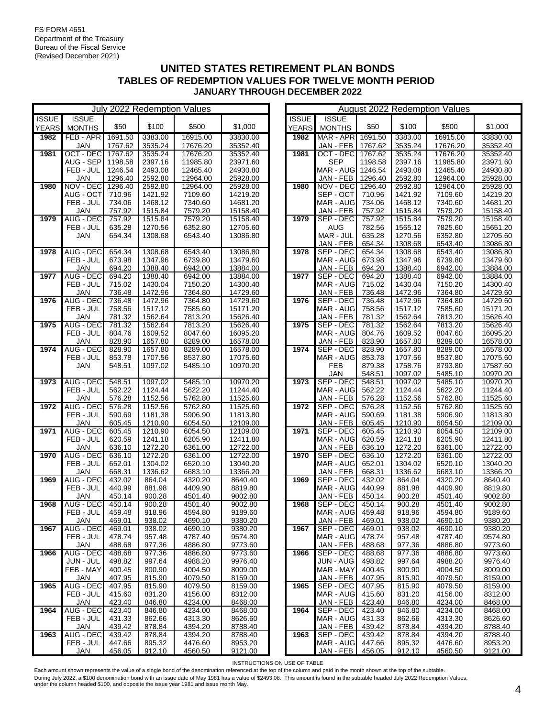|              |                         |                    |                    | July 2022 Redemption Values |                      |              |                                 |                  |                    | August 2022 Redemption Values |                      |
|--------------|-------------------------|--------------------|--------------------|-----------------------------|----------------------|--------------|---------------------------------|------------------|--------------------|-------------------------------|----------------------|
| <b>ISSUE</b> | <b>ISSUE</b>            |                    |                    |                             |                      | <b>ISSUE</b> | <b>ISSUE</b>                    |                  |                    |                               |                      |
| <b>YEARS</b> | <b>MONTHS</b>           | \$50               | \$100              | \$500                       | \$1,000              | <b>YEARS</b> | <b>MONTHS</b>                   | \$50             | \$100              | \$500                         | \$1,000              |
| 1982         | FEB-APR                 | 1691.50            | 3383.00            | 16915.00                    | 33830.00             | 1982         | MAR - APR 1691.50               |                  | 3383.00            | 16915.00                      | 33830.00             |
|              | <b>JAN</b>              | 1767.62            | 3535.24            | 17676.20                    | 35352.40             |              | JAN - FEB                       | 1767.62          | 3535.24            | 17676.20                      | 35352.40             |
| 1981         | OCT - DEC               | 1767.62            | 3535.24            | 17676.20                    | 35352.40             | 1981         | OCT - DEC                       | 1767.62          | 3535.24            | 17676.20                      | 35352.40             |
|              | AUG - SEP               | 1198.58<br>1246.54 | 2397.16            | 11985.80                    | 23971.60             |              | <b>SEP</b><br>MAR - AUG 1246.54 | 1198.58          | 2397.16<br>2493.08 | 11985.80                      | 23971.60<br>24930.80 |
|              | FEB - JUL<br><b>JAN</b> | 1296.40            | 2493.08<br>2592.80 | 12465.40<br>12964.00        | 24930.80<br>25928.00 |              | JAN - FEB                       | 1296.40          | 2592.80            | 12465.40<br>12964.00          | 25928.00             |
| 1980         | NOV - DEC               | 1296.40            | 2592.80            | 12964.00                    | 25928.00             | 1980         | NOV - DEC                       | 1296.40          | 2592.80            | 12964.00                      | 25928.00             |
|              | AUG - OCT               | 710.96             | 1421.92            | 7109.60                     | 14219.20             |              | SEP - OCT                       | 710.96           | 1421.92            | 7109.60                       | 14219.20             |
|              | FEB - JUL               | 734.06             | 1468.12            | 7340.60                     | 14681.20             |              | MAR - AUG                       | 734.06           | 1468.12            | 7340.60                       | 14681.20             |
|              | <b>JAN</b>              | 757.92             | 1515.84            | 7579.20                     | 15158.40             |              | JAN - FEB                       | 757.92           | 1515.84            | 7579.20                       | 15158.40             |
| 1979         | <b>AUG - DEC</b>        | 757.92             | 1515.84            | 7579.20                     | 15158.40             | 1979         | SEP - DEC                       | 757.92           | 1515.84            | 7579.20                       | 15158.40             |
|              | FEB - JUL               | 635.28             | 1270.56            | 6352.80                     | 12705.60             |              | <b>AUG</b>                      | 782.56           | 1565.12            | 7825.60                       | 15651.20             |
|              | <b>JAN</b>              | 654.34             | 1308.68            | 6543.40                     | 13086.80             |              | MAR - JUL                       | 635.28           | 1270.56            | 6352.80                       | 12705.60             |
|              |                         |                    |                    |                             |                      |              | JAN - FEB                       | 654.34           | 1308.68            | 6543.40                       | 13086.80             |
| 1978         | <b>AUG - DEC</b>        | 654.34             | 1308.68            | 6543.40                     | 13086.80             | 1978         | SEP - DEC                       | 654.34           | 1308.68            | 6543.40                       | 13086.80             |
|              | FEB - JUL               | 673.98             | 1347.96            | 6739.80                     | 13479.60             |              | MAR - AUG                       | 673.98           | 1347.96            | 6739.80                       | 13479.60             |
|              | JAN                     | 694.20             | 1388.40            | 6942.00                     | 13884.00             |              | JAN - FEB                       | 694.20           | 1388.40            | 6942.00                       | 13884.00             |
| 1977         | <b>AUG - DEC</b>        | 694.20             | 1388.40            | 6942.00                     | 13884.00             | 1977         | SEP - DEC                       | 694.20           | 1388.40            | 6942.00                       | 13884.00             |
|              | FEB - JUL               | 715.02             | 1430.04            | 7150.20                     | 14300.40             |              | MAR - AUG                       | 715.02           | 1430.04            | 7150.20                       | 14300.40             |
|              | <b>JAN</b>              | 736.48             | 1472.96            | 7364.80                     | 14729.60             |              | JAN - FEB                       | 736.48           | 1472.96            | 7364.80                       | 14729.60             |
| 1976         | <b>AUG - DEC</b>        | 736.48             | 1472.96            | 7364.80                     | 14729.60             | 1976         | SEP - DEC                       | 736.48           | 1472.96            | 7364.80                       | 14729.60             |
|              | FEB - JUL               | 758.56             | 1517.12            | 7585.60                     | 15171.20             |              | MAR - AUG                       | 758.56           | 1517.12            | 7585.60                       | 15171.20             |
|              | JAN                     | 781.32             | 1562.64            | 7813.20                     | 15626.40             |              | JAN - FEB                       | 781.32           | 1562.64            | 7813.20                       | 15626.40             |
| 1975         | <b>AUG - DEC</b>        | 781.32             | 1562.64            | 7813.20                     | 15626.40             | 1975         | SEP - DEC                       | 781.32           | 1562.64            | 7813.20                       | 15626.40             |
|              | FEB - JUL               | 804.76             | 1609.52            | 8047.60                     | 16095.20             |              | MAR - AUG                       | 804.76           | 1609.52            | 8047.60                       | 16095.20             |
| 1974         | JAN<br><b>AUG - DEC</b> | 828.90<br>828.90   | 1657.80<br>1657.80 | 8289.00<br>8289.00          | 16578.00<br>16578.00 | 1974         | JAN - FEB<br>SEP - DEC          | 828.90<br>828.90 | 1657.80<br>1657.80 | 8289.00<br>8289.00            | 16578.00<br>16578.00 |
|              | FEB - JUL               | 853.78             | 1707.56            | 8537.80                     | 17075.60             |              | MAR - AUG                       | 853.78           | 1707.56            | 8537.80                       | 17075.60             |
|              | <b>JAN</b>              | 548.51             | 1097.02            | 5485.10                     | 10970.20             |              | <b>FEB</b>                      | 879.38           | 1758.76            | 8793.80                       | 17587.60             |
|              |                         |                    |                    |                             |                      |              | <b>JAN</b>                      | 548.51           | 1097.02            | 5485.10                       | 10970.20             |
| 1973         | <b>AUG - DEC</b>        | 548.51             | 1097.02            | 5485.10                     | 10970.20             | 1973         | SEP - DEC                       | 548.51           | 1097.02            | 5485.10                       | 10970.20             |
|              | FEB - JUL               | 562.22             | 1124.44            | 5622.20                     | 11244.40             |              | MAR - AUG                       | 562.22           | 1124.44            | 5622.20                       | 11244.40             |
|              | JAN                     | 576.28             | 1152.56            | 5762.80                     | 11525.60             |              | JAN - FEB                       | 576.28           | 1152.56            | 5762.80                       | 11525.60             |
| 1972         | <b>AUG - DEC</b>        | 576.28             | 1152.56            | 5762.80                     | 11525.60             | 1972         | SEP - DEC                       | 576.28           | 1152.56            | 5762.80                       | 11525.60             |
|              | FEB - JUL               | 590.69             | 1181.38            | 5906.90                     | 11813.80             |              | MAR - AUG                       | 590.69           | 1181.38            | 5906.90                       | 11813.80             |
|              | <b>JAN</b>              | 605.45             | 1210.90            | 6054.50                     | 12109.00             |              | JAN - FEB                       | 605.45           | 1210.90            | 6054.50                       | 12109.00             |
| 1971         | <b>AUG - DEC</b>        | 605.45             | 1210.90            | 6054.50                     | 12109.00             | 1971         | SEP - DEC                       | 605.45           | 1210.90            | 6054.50                       | 12109.00             |
|              | FEB - JUL               | 620.59             | 1241.18            | 6205.90                     | 12411.80             |              | MAR - AUG                       | 620.59           | 1241.18            | 6205.90                       | 12411.80             |
|              | JAN                     | 636.10             | 1272.20            | 6361.00                     | 12722.00             |              | JAN - FEB                       | 636.10           | 1272.20            | 6361.00                       | 12722.00             |
| 1970         | <b>AUG - DEC</b>        | 636.10             | 1272.20            | 6361.00                     | 12722.00             | 1970         | SEP - DEC                       | 636.10           | 1272.20            | 6361.00                       | 12722.00             |
|              | FEB - JUL               | 652.01             | 1304.02            | 6520.10                     | 13040.20             |              | MAR - AUG                       | 652.01           | 1304.02            | 6520.10                       | 13040.20             |
|              | JAN                     | 668.31             | 1336.62            | 6683.10                     | 13366.20             |              | JAN - FEB                       | 668.31           | 1336.62            | 6683.10                       | 13366.20             |
| 1969         | AUG - DEC               | 432.02             | 864.04             | 4320.20                     | 8640.40              | 1969         | SEP - DEC                       | 432.02           | 864.04             | 4320.20                       | 8640.40              |
|              | FEB - JUL<br>JAN        | 440.99<br>450.14   | 881.98<br>900.28   | 4409.90<br>4501.40          | 8819.80<br>9002.80   |              | MAR - AUG<br>JAN - FEB          | 440.99<br>450.14 | 881.98<br>900.28   | 4409.90<br>4501.40            | 8819.80<br>9002.80   |
| 1968         | <b>AUG - DEC</b>        | 450.14             | 900.28             | 4501.40                     | 9002.80              | 1968         | SEP - DEC                       | 450.14           | 900.28             | 4501.40                       | 9002.80              |
|              | FEB - JUL               | 459.48             | 918.96             | 4594.80                     | 9189.60              |              | MAR - AUG                       | 459.48           | 918.96             | 4594.80                       | 9189.60              |
|              | JAN                     | 469.01             | 938.02             | 4690.10                     | 9380.20              |              | JAN - FEB                       | 469.01           | 938.02             | 4690.10                       | 9380.20              |
| 1967         | AUG - DEC               | 469.01             | 938.02             | 4690.10                     | 9380.20              | 1967         | SEP - DEC                       | 469.01           | 938.02             | 4690.10                       | 9380.20              |
|              | FEB - JUL               | 478.74             | 957.48             | 4787.40                     | 9574.80              |              | MAR - AUG                       | 478.74           | 957.48             | 4787.40                       | 9574.80              |
|              | JAN                     | 488.68             | 977.36             | 4886.80                     | 9773.60              |              | JAN - FEB                       | 488.68           | 977.36             | 4886.80                       | 9773.60              |
| 1966         | AUG - DEC               | 488.68             | 977.36             | 4886.80                     | 9773.60              | 1966         | SEP - DEC                       | 488.68           | 977.36             | 4886.80                       | 9773.60              |
|              | JUN - JUL               | 498.82             | 997.64             | 4988.20                     | 9976.40              |              | JUN - AUG                       | 498.82           | 997.64             | 4988.20                       | 9976.40              |
|              | FEB - MAY               | 400.45             | 800.90             | 4004.50                     | 8009.00              |              | MAR - MAY                       | 400.45           | 800.90             | 4004.50                       | 8009.00              |
|              | JAN                     | 407.95             | 815.90             | 4079.50                     | 8159.00              |              | JAN - FEB                       | 407.95           | 815.90             | 4079.50                       | 8159.00              |
| 1965         | AUG - DEC               | 407.95             | 815.90             | 4079.50                     | 8159.00              | 1965         | SEP - DEC                       | 407.95           | 815.90             | 4079.50                       | 8159.00              |
|              | FEB - JUL               | 415.60             | 831.20             | 4156.00                     | 8312.00              |              | MAR - AUG                       | 415.60           | 831.20             | 4156.00                       | 8312.00              |
|              | <b>JAN</b>              | 423.40             | 846.80             | 4234.00                     | 8468.00              |              | JAN - FEB                       | 423.40           | 846.80             | 4234.00                       | 8468.00              |
| 1964         | AUG - DEC               | 423.40             | 846.80             | 4234.00                     | 8468.00              | 1964         | SEP - DEC                       | 423.40           | 846.80             | 4234.00                       | 8468.00              |
|              | FEB - JUL               | 431.33             | 862.66             | 4313.30                     | 8626.60              |              | MAR - AUG                       | 431.33           | 862.66             | 4313.30                       | 8626.60              |
|              | <b>JAN</b>              | 439.42             | 878.84             | 4394.20                     | 8788.40              |              | JAN - FEB                       | 439.42           | 878.84             | 4394.20                       | 8788.40              |
| 1963         | AUG - DEC               | 439.42             | 878.84             | 4394.20                     | 8788.40              | 1963         | SEP - DEC                       | 439.42           | 878.84             | 4394.20                       | 8788.40              |
|              | FEB - JUL               | 447.66             | 895.32             | 4476.60                     | 8953.20              |              | MAR - AUG                       | 447.66           | 895.32             | 4476.60                       | 8953.20              |
|              | <b>JAN</b>              | 456.05             | 912.10             | 4560.50                     | 9121.00              |              | JAN - FEB                       | 456.05           | 912.10             | 4560.50                       | 9121.00              |

|                              |                               |                    |                    | August 2022 Reaemption values |                      |
|------------------------------|-------------------------------|--------------------|--------------------|-------------------------------|----------------------|
| <b>ISSUE</b><br><b>YEARS</b> | <b>ISSUE</b><br><b>MONTHS</b> | \$50               | \$100              | \$500                         | \$1,000              |
| 1982                         | MAR - APR                     | 1691.50<br>1767.62 | 3383.00            | 16915.00                      | 33830.00             |
| 1981                         | JAN - FEB<br><b>OCT - DEC</b> | 1767.62            | 3535.24<br>3535.24 | 17676.20<br>17676.20          | 35352.40<br>35352.40 |
|                              | SEP                           | 1198.58            | 2397.16            | 11985.80                      | 23971.60             |
|                              | MAR - AUG                     | 1246.54            | 2493.08            | 12465.40                      | 24930.80             |
|                              | JAN - FEB                     | 1296.40            | 2592.80            | 12964.00                      | 25928.00             |
| 1980                         | NOV - DEC                     | 1296.40            | 2592.80            | 12964.00                      | 25928.00             |
|                              | SEP - OCT                     | 710.96             | 1421.92            | 7109.60                       | 14219.20             |
|                              | MAR - AUG                     | 734.06             | 1468.12            | 7340.60                       | 14681.20             |
|                              | JAN - FEB                     | 757.92             | 1515.84            | 7579.20                       | 15158.40             |
| 1979                         | SEP - DEC                     | 757.92             | 1515.84            | 7579.20                       | 15158.40             |
|                              | AUG                           | 782.56             | 1565.12            | 7825.60                       | 15651.20             |
|                              | MAR - JUL                     | 635.28             | 1270.56            | 6352.80                       | 12705.60             |
| 1978                         | JAN - FEB                     | 654.34             | 1308.68            | 6543.40                       | 13086.80             |
|                              | SEP - DEC<br>MAR - AUG        | 654.34<br>673.98   | 1308.68<br>1347.96 | 6543.40<br>6739.80            | 13086.80<br>13479.60 |
|                              | JAN - FEB                     | 694.20             | 1388.40            | 6942.00                       | 13884.00             |
| 1977                         | SEP - DEC                     | 694.20             | 1388.40            | 6942.00                       | 13884.00             |
|                              | MAR - AUG                     | 715.02             | 1430.04            | 7150.20                       | 14300.40             |
|                              | JAN - FEB                     | 736.48             | 1472.96            | 7364.80                       | 14729.60             |
| 1976                         | SEP - DEC                     | 736.48             | 1472.96            | 7364.80                       | 14729.60             |
|                              | MAR - AUG                     | 758.56             | 1517.12            | 7585.60                       | 15171.20             |
|                              | JAN - FEB                     | 781.32             | 1562.64            | 7813.20                       | 15626.40             |
| 1975                         | SEP - DEC                     | 781.32             | 1562.64            | 7813.20                       | 15626.40             |
|                              | MAR - AUG                     | 804.76             | 1609.52            | 8047.60                       | 16095.20             |
| 1974                         | JAN - FEB                     | 828.90             | 1657.80            | 8289.00                       | 16578.00             |
|                              | SEP - DEC<br>MAR - AUG        | 828.90<br>853.78   | 1657.80<br>1707.56 | 8289.00<br>8537.80            | 16578.00<br>17075.60 |
|                              | <b>FEB</b>                    | 879.38             | 1758.76            | 8793.80                       | 17587.60             |
|                              | JAN                           | 548.51             | 1097.02            | 5485.10                       | 10970.20             |
| 1973                         | SEP - DEC                     | 548.51             | 1097.02            | 5485.10                       | 10970.20             |
|                              | MAR - AUG                     | 562.22             | 1124.44            | 5622.20                       | 11244.40             |
|                              | JAN - FEB                     | 576.28             | 1152.56            | 5762.80                       | 11525.60             |
| 1972                         | SEP - DEC                     | 576.28             | 1152.56            | 5762.80                       | 11525.60             |
|                              | MAR - AUG                     | 590.69             | 1181.38            | 5906.90                       | 11813.80             |
| 1971                         | JAN - FEB<br>SEP - DEC        | 605.45             | 1210.90            | 6054.50                       | 12109.00             |
|                              | MAR - AUG                     | 605.45<br>620.59   | 1210.90<br>1241.18 | 6054.50<br>6205.90            | 12109.00<br>12411.80 |
|                              | JAN - FEB                     | 636.10             | 1272.20            | 6361.00                       | 12722.00             |
| 1970                         | SEP - DEC                     | 636.10             | 1272.20            | 6361.00                       | 12722.00             |
|                              | MAR - AUG                     | 652.01             | 1304.02            | 6520.10                       | 13040.20             |
|                              | JAN - FEB                     | 668.31             | 1336.62            | 6683.10                       | 13366.20             |
| 1969                         | SEP - DEC                     | 432.02             | 864.04             | 4320.20                       | 8640.40              |
|                              | MAR - AUG                     | 440.99             | 881.98             | 4409.90                       | 8819.80              |
|                              | JAN - FEB                     | 450.14             | 900.28             | 4501.40                       | 9002.80              |
| 1968                         | SEP - DEC<br>MAR - AUG        | 450.14<br>459.48   | 900.28<br>918.96   | 4501.40<br>4594.80            | 9002.80<br>9189.60   |
|                              | JAN - FEB                     | 469.01             | 938.02             | 4690.10                       | 9380.20              |
| 1967                         | SEP - DEC                     | 469.01             | 938.02             | 4690.10                       | 9380.20              |
|                              | MAR - AUG                     | 478.74             | 957.48             | 4787.40                       | 9574.80              |
|                              | JAN - FEB                     | 488.68             | 977.36             | 4886.80                       | 9773.60              |
| 1966                         | SEP - DEC                     | 488.68             | 977.36             | 4886.80                       | 9773.60              |
|                              | JUN - AUG                     | 498.82             | 997.64             | 4988.20                       | 9976.40              |
|                              | MAR - MAY                     | 400.45             | 800.90             | 4004.50                       | 8009.00              |
|                              | JAN - FEB                     | 407.95             | 815.90             | 4079.50                       | 8159.00              |
| 1965                         | SEP - DEC<br>MAR - AUG        | 407.95             | 815.90             | 4079.50                       | 8159.00              |
|                              | JAN - FEB                     | 415.60<br>423.40   | 831.20<br>846.80   | 4156.00<br>4234.00            | 8312.00<br>8468.00   |
| 1964                         | SEP - DEC                     | 423.40             | 846.80             | 4234.00                       | 8468.00              |
|                              | MAR - AUG                     | 431.33             | 862.66             | 4313.30                       | 8626.60              |
|                              | JAN - FEB                     | 439.42             | 878.84             | 4394.20                       | 8788.40              |
| 1963                         | SEP - DEC                     | 439.42             | 878.84             | 4394.20                       | 8788.40              |
|                              | MAR - AUG                     | 447.66             | 895.32             | 4476.60                       | 8953.20              |
|                              | JAN - FEB                     | 456.05             | 912.10             | 4560.50                       | 9121.00              |

INSTRUCTIONS ON USE OF TABLE

Each amount shown represents the value of a single bond of the denomination referenced at the top of the column and paid in the month shown at the top of the subtable. During July 2022, a \$100 denomination bond with an issue date of May 1981 has a value of \$2493.08. This amount is found in the subtable headed July 2022 Redemption Values,<br>under the column headed \$100, and opposite the iss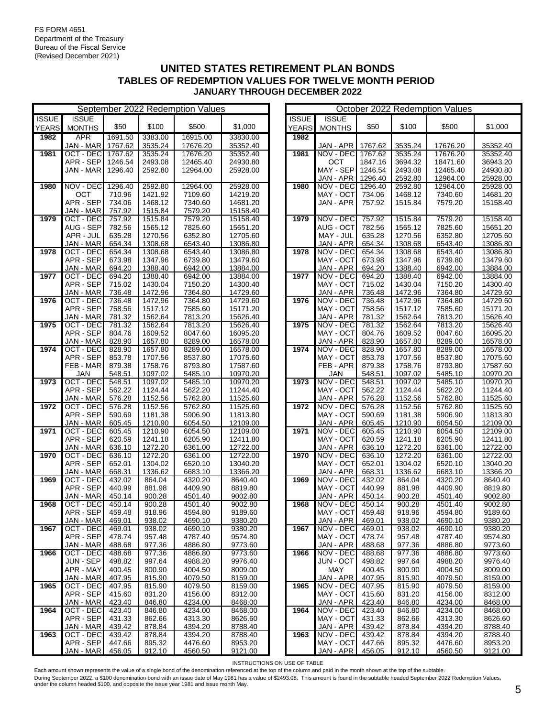|              | September 2022 Redemption Values |         |         |          |          |  | October 2022 Redemption Values |               |         |         |          |          |
|--------------|----------------------------------|---------|---------|----------|----------|--|--------------------------------|---------------|---------|---------|----------|----------|
| <b>ISSUE</b> | <b>ISSUE</b>                     |         |         |          |          |  | <b>ISSUE</b>                   | <b>ISSUE</b>  |         |         |          |          |
| <b>YEARS</b> | <b>MONTHS</b>                    | \$50    | \$100   | \$500    | \$1,000  |  | <b>YEARS</b>                   | <b>MONTHS</b> | \$50    | \$100   | \$500    | \$1,000  |
| 1982         | <b>APR</b>                       | 1691.50 | 3383.00 | 16915.00 | 33830.00 |  | 1982                           |               |         |         |          |          |
|              | JAN - MAR                        | 1767.62 | 3535.24 | 17676.20 | 35352.40 |  |                                | JAN - APR     | 1767.62 | 3535.24 | 17676.20 | 35352.40 |
| 1981         | OCT - DEC                        | 1767.62 | 3535.24 | 17676.20 | 35352.40 |  | 1981                           | NOV - DEC     | 1767.62 | 3535.24 | 17676.20 | 35352.40 |
|              | APR - SEP                        | 1246.54 | 2493.08 | 12465.40 | 24930.80 |  |                                | OCT           | 1847.16 | 3694.32 | 18471.60 | 36943.20 |
|              | JAN - MAR                        | 1296.40 | 2592.80 | 12964.00 | 25928.00 |  |                                | MAY - SEP     | 1246.54 | 2493.08 | 12465.40 | 24930.80 |
|              |                                  |         |         |          |          |  |                                | JAN - APR     | 1296.40 | 2592.80 | 12964.00 | 25928.00 |
| 1980         | NOV - DEC                        | 1296.40 | 2592.80 | 12964.00 | 25928.00 |  | 1980                           | NOV - DEC     | 1296.40 | 2592.80 | 12964.00 | 25928.00 |
|              | OCT                              | 710.96  | 1421.92 | 7109.60  | 14219.20 |  |                                | MAY - OCT     | 734.06  | 1468.12 | 7340.60  | 14681.20 |
|              | APR - SEP                        | 734.06  | 1468.12 | 7340.60  | 14681.20 |  |                                | JAN - APR     | 757.92  | 1515.84 | 7579.20  | 15158.40 |
|              | JAN - MAR                        | 757.92  | 1515.84 | 7579.20  | 15158.40 |  |                                |               |         |         |          |          |
| 1979         | OCT - DEC                        | 757.92  | 1515.84 | 7579.20  | 15158.40 |  | 1979                           | NOV - DEC     | 757.92  | 1515.84 | 7579.20  | 15158.40 |
|              | AUG - SEP                        | 782.56  | 1565.12 | 7825.60  | 15651.20 |  |                                | AUG - OCT     | 782.56  | 1565.12 | 7825.60  | 15651.20 |
|              | APR - JUL                        | 635.28  | 1270.56 | 6352.80  | 12705.60 |  |                                | MAY - JUL     | 635.28  | 1270.56 | 6352.80  | 12705.60 |
|              | JAN - MAR                        | 654.34  | 1308.68 | 6543.40  | 13086.80 |  |                                | JAN - APR     | 654.34  | 1308.68 | 6543.40  | 13086.80 |
| 1978         | OCT - DEC                        | 654.34  | 1308.68 | 6543.40  | 13086.80 |  | 1978                           | NOV - DEC     | 654.34  | 1308.68 | 6543.40  | 13086.80 |
|              | APR - SEP                        | 673.98  | 1347.96 | 6739.80  | 13479.60 |  |                                | MAY - OCT     | 673.98  | 1347.96 | 6739.80  | 13479.60 |
|              | JAN - MAR                        | 694.20  | 1388.40 | 6942.00  | 13884.00 |  |                                | JAN - APR     | 694.20  | 1388.40 | 6942.00  | 13884.00 |
| 1977         | OCT - DEC                        | 694.20  | 1388.40 | 6942.00  | 13884.00 |  | 1977                           | NOV - DEC     | 694.20  | 1388.40 | 6942.00  | 13884.00 |
|              | APR - SEP                        | 715.02  | 1430.04 | 7150.20  | 14300.40 |  |                                | MAY - OCT     | 715.02  | 1430.04 | 7150.20  | 14300.40 |
|              | JAN - MAR                        | 736.48  | 1472.96 | 7364.80  | 14729.60 |  |                                | JAN - APR     | 736.48  | 1472.96 | 7364.80  | 14729.60 |
| 1976         | OCT - DEC                        | 736.48  | 1472.96 | 7364.80  | 14729.60 |  | 1976                           | NOV - DEC     | 736.48  | 1472.96 | 7364.80  | 14729.60 |
|              | APR - SEP                        | 758.56  | 1517.12 | 7585.60  | 15171.20 |  |                                | MAY - OCT     | 758.56  | 1517.12 | 7585.60  | 15171.20 |
|              | JAN - MAR                        | 781.32  | 1562.64 | 7813.20  | 15626.40 |  |                                | JAN - APR     | 781.32  | 1562.64 | 7813.20  | 15626.40 |
| 1975         | OCT - DEC                        | 781.32  | 1562.64 | 7813.20  | 15626.40 |  | 1975                           | NOV - DEC     | 781.32  | 1562.64 | 7813.20  | 15626.40 |
|              | APR - SEP                        | 804.76  | 1609.52 | 8047.60  | 16095.20 |  |                                | MAY - OCT     | 804.76  | 1609.52 | 8047.60  | 16095.20 |
|              | JAN - MAR                        | 828.90  | 1657.80 | 8289.00  | 16578.00 |  |                                | JAN - APR     | 828.90  | 1657.80 | 8289.00  | 16578.00 |
| 1974         | OCT - DEC                        | 828.90  | 1657.80 | 8289.00  | 16578.00 |  | 1974                           | NOV - DEC     | 828.90  | 1657.80 | 8289.00  | 16578.00 |
|              | APR - SEP                        | 853.78  | 1707.56 | 8537.80  | 17075.60 |  |                                | MAY - OCT     | 853.78  | 1707.56 | 8537.80  | 17075.60 |
|              | FEB - MAR                        | 879.38  | 1758.76 | 8793.80  | 17587.60 |  |                                | FEB-APR       | 879.38  | 1758.76 | 8793.80  | 17587.60 |
|              | <b>JAN</b>                       | 548.51  | 1097.02 | 5485.10  | 10970.20 |  |                                | <b>JAN</b>    | 548.51  | 1097.02 | 5485.10  | 10970.20 |
| 1973         | OCT - DEC                        | 548.51  | 1097.02 | 5485.10  | 10970.20 |  | 1973                           | NOV - DEC     | 548.51  | 1097.02 | 5485.10  | 10970.20 |
|              | APR - SEP                        | 562.22  | 1124.44 | 5622.20  | 11244.40 |  |                                | MAY - OCT     | 562.22  | 1124.44 | 5622.20  | 11244.40 |
|              | JAN - MAR                        | 576.28  | 1152.56 | 5762.80  | 11525.60 |  |                                | JAN - APR     | 576.28  | 1152.56 | 5762.80  | 11525.60 |
| 1972         | OCT - DEC                        | 576.28  | 1152.56 | 5762.80  | 11525.60 |  | 1972                           | NOV - DEC     | 576.28  | 1152.56 | 5762.80  | 11525.60 |
|              | APR - SEP                        | 590.69  | 1181.38 | 5906.90  | 11813.80 |  |                                | MAY - OCT     | 590.69  | 1181.38 | 5906.90  | 11813.80 |
|              | JAN - MAR                        | 605.45  | 1210.90 | 6054.50  | 12109.00 |  |                                | JAN - APR     | 605.45  | 1210.90 | 6054.50  | 12109.00 |
| 1971         | OCT - DEC                        | 605.45  | 1210.90 | 6054.50  | 12109.00 |  | 1971                           | NOV - DEC     | 605.45  | 1210.90 | 6054.50  | 12109.00 |
|              | APR - SEP                        | 620.59  | 1241.18 | 6205.90  | 12411.80 |  |                                | MAY - OCT     | 620.59  | 1241.18 | 6205.90  | 12411.80 |
|              | JAN - MAR                        | 636.10  | 1272.20 | 6361.00  | 12722.00 |  |                                | JAN - APR     | 636.10  | 1272.20 | 6361.00  | 12722.00 |
| 1970         | OCT - DEC                        | 636.10  | 1272.20 | 6361.00  | 12722.00 |  | 1970                           | NOV - DEC     | 636.10  | 1272.20 | 6361.00  | 12722.00 |
|              | APR - SEP                        | 652.01  | 1304.02 | 6520.10  | 13040.20 |  |                                | MAY - OCT     | 652.01  | 1304.02 | 6520.10  | 13040.20 |
|              | JAN - MAR                        | 668.31  | 1336.62 | 6683.10  | 13366.20 |  |                                | JAN - APR     | 668.31  | 1336.62 | 6683.10  | 13366.20 |
| 1969         | OCT - DEC                        | 432.02  | 864.04  | 4320.20  | 8640.40  |  | 1969                           | NOV - DEC     | 432.02  | 864.04  | 4320.20  | 8640.40  |
|              | APR - SEP                        | 440.99  | 881.98  | 4409.90  | 8819.80  |  |                                | MAY - OCT     | 440.99  | 881.98  | 4409.90  | 8819.80  |
|              | JAN - MAR                        | 450.14  | 900.28  | 4501.40  | 9002.80  |  |                                | JAN - APR     | 450.14  | 900.28  | 4501.40  | 9002.80  |
| 1968         | OCT - DEC                        | 450.14  | 900.28  | 4501.40  | 9002.80  |  | 1968                           | NOV - DEC     | 450.14  | 900.28  | 4501.40  | 9002.80  |
|              | APR - SEP                        | 459.48  | 918.96  | 4594.80  | 9189.60  |  |                                | MAY - OCT     | 459.48  | 918.96  | 4594.80  | 9189.60  |
|              | JAN - MAR                        | 469.01  | 938.02  | 4690.10  | 9380.20  |  |                                | JAN - APR     | 469.01  | 938.02  | 4690.10  | 9380.20  |
| 1967         | OCT - DEC                        | 469.01  | 938.02  | 4690.10  | 9380.20  |  | 1967                           | NOV - DEC     | 469.01  | 938.02  | 4690.10  | 9380.20  |
|              | APR - SEP                        | 478.74  | 957.48  | 4787.40  | 9574.80  |  |                                | MAY - OCT     | 478.74  | 957.48  | 4787.40  | 9574.80  |
|              | JAN - MAR                        | 488.68  | 977.36  | 4886.80  | 9773.60  |  |                                | JAN - APR     | 488.68  | 977.36  | 4886.80  | 9773.60  |
| 1966         | OCT - DEC                        | 488.68  | 977.36  | 4886.80  | 9773.60  |  | 1966                           | NOV - DEC     | 488.68  | 977.36  | 4886.80  | 9773.60  |
|              | JUN - SEP                        | 498.82  | 997.64  | 4988.20  | 9976.40  |  |                                | JUN - OCT     | 498.82  | 997.64  | 4988.20  | 9976.40  |
|              | APR - MAY                        | 400.45  | 800.90  | 4004.50  | 8009.00  |  |                                | MAY           | 400.45  | 800.90  | 4004.50  | 8009.00  |
|              | JAN - MAR                        | 407.95  | 815.90  | 4079.50  | 8159.00  |  |                                | JAN - APR     | 407.95  | 815.90  | 4079.50  | 8159.00  |
| 1965         | OCT - DEC                        | 407.95  | 815.90  | 4079.50  | 8159.00  |  | 1965                           | NOV - DEC     | 407.95  | 815.90  | 4079.50  | 8159.00  |
|              | APR - SEP                        | 415.60  | 831.20  | 4156.00  | 8312.00  |  |                                | MAY - OCT     | 415.60  | 831.20  | 4156.00  | 8312.00  |
|              | JAN - MAR                        | 423.40  | 846.80  | 4234.00  | 8468.00  |  |                                | JAN - APR     | 423.40  | 846.80  | 4234.00  | 8468.00  |
| 1964         | OCT - DEC                        | 423.40  | 846.80  | 4234.00  | 8468.00  |  | 1964                           | NOV - DEC     | 423.40  | 846.80  | 4234.00  | 8468.00  |
|              | APR - SEP                        | 431.33  | 862.66  | 4313.30  | 8626.60  |  |                                | MAY - OCT     | 431.33  | 862.66  | 4313.30  | 8626.60  |
|              | JAN - MAR                        | 439.42  | 878.84  | 4394.20  | 8788.40  |  |                                | JAN - APR     | 439.42  | 878.84  | 4394.20  | 8788.40  |
| 1963         | OCT - DEC                        | 439.42  | 878.84  | 4394.20  | 8788.40  |  | 1963                           | NOV - DEC     | 439.42  | 878.84  | 4394.20  | 8788.40  |
|              | APR - SEP                        | 447.66  | 895.32  | 4476.60  | 8953.20  |  |                                | MAY - OCT     | 447.66  | 895.32  | 4476.60  | 8953.20  |
|              | JAN - MAR                        | 456.05  | 912.10  | 4560.50  | 9121.00  |  |                                | JAN - APR     | 456.05  | 912.10  | 4560.50  | 9121.00  |

|              |                        |                  |                    | October 2022 Redemption values |                      |
|--------------|------------------------|------------------|--------------------|--------------------------------|----------------------|
| <b>ISSUE</b> | <b>ISSUE</b>           |                  |                    |                                |                      |
| <b>YEARS</b> | <b>MONTHS</b>          | \$50             | \$100              | \$500                          | \$1,000              |
| 1982         |                        |                  |                    |                                |                      |
|              | JAN - APR              | 1767.62          | 3535.24            | 17676.20                       | 35352.40             |
| 1981         | NOV - DEC              | 1767.62          | 3535.24            | 17676.20                       | 35352.40             |
|              | ост                    | 1847.16          | 3694.32            | 18471.60                       | 36943.20             |
|              | MAY - SEP              | 1246.54          | 2493.08            | 12465.40                       | 24930.80             |
|              | JAN - APR              | 1296.40          | 2592.80            | 12964.00                       | 25928.00             |
| 1980         | NOV - DEC              | 1296.40          | 2592.80            | 12964.00                       | 25928.00             |
|              | MAY - OCT              | 734.06           | 1468.12            | 7340.60                        | 14681.20             |
|              | JAN - APR              | 757.92           | 1515.84            | 7579.20                        | 15158.40             |
|              | NOV - DEC              |                  |                    |                                |                      |
| 1979         | AUG - OCT              | 757.92           | 1515.84            | 7579.20<br>7825.60             | 15158.40             |
|              |                        | 782.56           | 1565.12<br>1270.56 |                                | 15651.20             |
|              | MAY - JUL<br>JAN - APR | 635.28<br>654.34 | 1308.68            | 6352.80<br>6543.40             | 12705.60<br>13086.80 |
| 1978         | NOV - DEC              | 654.34           | 1308.68            | 6543.40                        | 13086.80             |
|              | MAY - OCT              | 673.98           | 1347.96            | 6739.80                        | 13479.60             |
|              | JAN - APR              | 694.20           | 1388.40            | 6942.00                        | 13884.00             |
| 1977         | NOV - DEC              | 694.20           | 1388.40            | 6942.00                        | 13884.00             |
|              | MAY - OCT              | 715.02           | 1430.04            | 7150.20                        | 14300.40             |
|              | JAN - APR              | 736.48           | 1472.96            | 7364.80                        | 14729.60             |
| 1976         | NOV - DEC              | 736.48           | 1472.96            | 7364.80                        | 14729.60             |
|              | MAY - OCT              | 758.56           | 1517.12            | 7585.60                        | 15171.20             |
|              | JAN - APR              | 781.32           | 1562.64            | 7813.20                        | 15626.40             |
| 1975         | NOV - DEC              | 781.32           | 1562.64            | 7813.20                        | 15626.40             |
|              | MAY - OCT              | 804.76           | 1609.52            | 8047.60                        | 16095.20             |
|              | JAN - APR              | 828.90           | 1657.80            | 8289.00                        | 16578.00             |
| 1974         | NOV - DEC              | 828.90           | 1657.80            | 8289.00                        | 16578.00             |
|              | MAY - OCT              | 853.78           | 1707.56            | 8537.80                        | 17075.60             |
|              | FEB - APR              | 879.38           | 1758.76            | 8793.80                        | 17587.60             |
|              | JAN                    | 548.51           | 1097.02            | 5485.10                        | 10970.20             |
| 1973         | NOV - DEC              | 548.51           | 1097.02            | 5485.10                        | 10970.20             |
|              | MAY - OCT              | 562.22           | 1124.44            | 5622.20                        | 11244.40             |
| 1972         | JAN - APR<br>NOV - DEC | 576.28<br>576.28 | 1152.56<br>1152.56 | 5762.80<br>5762.80             | 11525.60<br>11525.60 |
|              | MAY - OCT              | 590.69           | 1181.38            | 5906.90                        | 11813.80             |
|              | JAN - APR              | 605.45           | 1210.90            | 6054.50                        | 12109.00             |
| 1971         | NOV - DEC              | 605.45           | 1210.90            | 6054.50                        | 12109.00             |
|              | MAY - OCT              | 620.59           | 1241.18            | 6205.90                        | 12411.80             |
|              | JAN - APR              | 636.10           | 1272.20            | 6361.00                        | 12722.00             |
| 1970         | NOV - DEC              | 636.10           | 1272.20            | 6361.00                        | 12722.00             |
|              | MAY - OCT              | 652.01           | 1304.02            | 6520.10                        | 13040.20             |
|              | JAN - APR              | 668.31           | 1336.62            | 6683.10                        | 13366.20             |
| 1969         | NOV - DEC              | 432.02           | 864.04             | 4320.20                        | 8640.40              |
|              | MAY - OCT              | 440.99           | 881.98             | 4409.90                        | 8819.80              |
|              | JAN - APR              | 450.14           | 900.28             | 4501.40                        | 9002.80              |
| 1968         | NOV - DEC              | 450.14           | 900.28             | 4501.40                        | 9002.80              |
|              | MAY - OCT              | 459.48           | 918.96             | 4594.80                        | 9189.60              |
|              | JAN - APR              | 469.01           | 938.02             | 4690.10                        | 9380.20              |
| 1967         | NOV - DEC              | 469.01           | 938.02             | 4690.10                        | 9380.20              |
|              | MAY - OCT              | 478.74           | 957.48             | 4787.40                        | 9574.80              |
| 1966         | JAN - APR<br>NOV - DEC | 488.68<br>488.68 | 977.36<br>977.36   | 4886.80<br>4886.80             | 9773.60<br>9773.60   |
|              | JUN - OCT              | 498.82           | 997.64             | 4988.20                        | 9976.40              |
|              | MAY                    | 400.45           | 800.90             | 4004.50                        | 8009.00              |
|              | JAN - APR              | 407.95           | 815.90             | 4079.50                        | 8159.00              |
| 1965         | NOV - DEC              | 407.95           | 815.90             | 4079.50                        | 8159.00              |
|              | MAY - OCT              | 415.60           | 831.20             | 4156.00                        | 8312.00              |
|              | JAN - APR              | 423.40           | 846.80             | 4234.00                        | 8468.00              |
| 1964         | NOV - DEC              | 423.40           | 846.80             | 4234.00                        | 8468.00              |
|              | MAY - OCT              | 431.33           | 862.66             | 4313.30                        | 8626.60              |
|              | JAN - APR              | 439.42           | 878.84             | 4394.20                        | 8788.40              |
| 1963         | NOV - DEC              | 439.42           | 878.84             | 4394.20                        | 8788.40              |
|              | MAY - OCT              | 447.66           | 895.32             | 4476.60                        | 8953.20              |
|              | JAN - APR              | 456.05           | 912.10             | 4560.50                        | 9121.00              |

INSTRUCTIONS ON USE OF TABLE

Each amount shown represents the value of a single bond of the denomination referenced at the top of the column and paid in the month shown at the top of the subtable.

During September 2022, a \$100 denomination bond with an issue date of May 1981 has a value of \$2493.08. This amount is found in the subtable headed September 2022 Redemption Values,<br>under the column headed \$100, and opposi